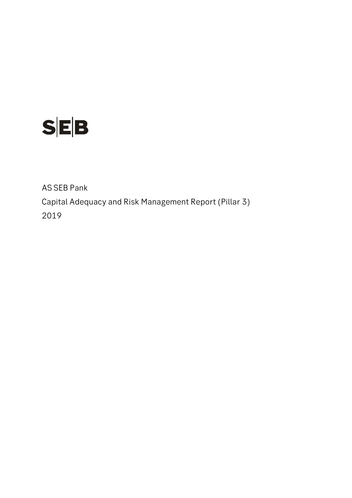

AS SEB Pank Capital Adequacy and Risk Management Report (Pillar 3) 2019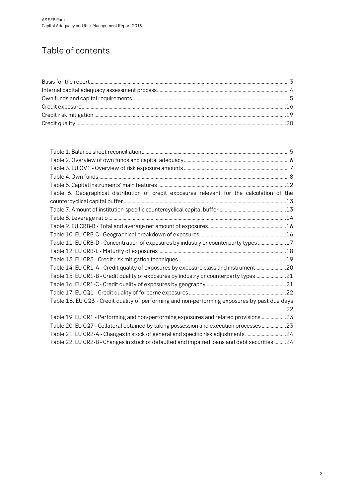# Table of contents

| Table 6. Geographical distribution of credit exposures relevant for the calculation of the    |    |
|-----------------------------------------------------------------------------------------------|----|
|                                                                                               |    |
|                                                                                               |    |
|                                                                                               |    |
|                                                                                               |    |
|                                                                                               |    |
| Table 11. EU CRB-D - Concentration of exposures by industry or counterparty types 17          |    |
|                                                                                               |    |
|                                                                                               |    |
| Table 14. EU CR1-A - Credit quality of exposures by exposure class and instrument20           |    |
| Table 15. EU CR1-B - Credit quality of exposures by industry or counterparty types21          |    |
|                                                                                               |    |
|                                                                                               |    |
| Table 18. EU CQ3 - Credit quality of performing and non-performing exposures by past due days |    |
|                                                                                               | 22 |
| Table 19. EU CR1 - Performing and non-performing exposures and related provisions23           |    |
| Table 20. EU CQ7 - Collateral obtained by taking possession and execution processes 23        |    |
| Table 21. EU CR2-A - Changes in stock of general and specific risk adjustments24              |    |
| Table 22. EU CR2-B - Changes in stock of defaulted and impaired loans and debt securities 24  |    |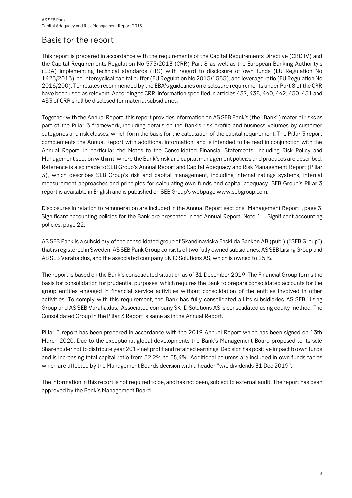## <span id="page-2-0"></span>Basis for the report

This report is prepared in accordance with the requirements of the Capital Requirements Directive (CRD IV) and the Capital Requirements Regulation No 575/2013 (CRR) Part 8 as well as the European Banking Authority's (EBA) implementing technical standards (ITS) with regard to disclosure of own funds (EU Regulation No 1423/2013), countercyclical capital buffer (EU Regulation No 2015/1555), and leverage ratio (EU Regulation No 2016/200). Templates recommended by the EBA's guidelines on disclosure requirements under Part 8 of the CRR have been used as relevant. According to CRR, information specified in articles 437, 438, 440, 442, 450, 451 and 453 of CRR shall be disclosed for material subsidiaries.

Together with the Annual Report, this report provides information on AS SEB Pank's (the "Bank") material risks as part of the Pillar 3 framework, including details on the Bank's risk profile and business volumes by customer categories and risk classes, which form the basis for the calculation of the capital requirement. The Pillar 3 report complements the Annual Report with additional information, and is intended to be read in conjunction with the Annual Report, in particular the Notes to the Consolidated Financial Statements, including Risk Policy and Management section within it, where the Bank's risk and capital management policies and practices are described. Reference is also made to SEB Group's Annual Report and Capital Adequacy and Risk Management Report (Pillar 3), which describes SEB Group's risk and capital management, including internal ratings systems, internal measurement approaches and principles for calculating own funds and capital adequacy. SEB Group's Pillar 3 report is available in English and is published on SEB Group's webpage www.sebgroup.com.

Disclosures in relation to remuneration are included in the Annual Report sections "Management Report", page 3. Significant accounting policies for the Bank are presented in the Annual Report, Note 1 – Significant accounting policies, page 22.

AS SEB Pank is a subsidiary of the consolidated group of Skandinaviska Enskilda Banken AB (publ) ("SEB Group") that is registered in Sweden. AS SEB Pank Group consists of two fully owned subsidiaries, AS SEB Liising Group and AS SEB Varahaldus, and the associated company SK ID Solutions AS, which is owned to 25%.

The report is based on the Bank's consolidated situation as of 31 December 2019. The Financial Group forms the basis for consolidation for prudential purposes, which requires the Bank to prepare consolidated accounts for the group entities engaged in financial service activities without consolidation of the entities involved in other activities. To comply with this requirement, the Bank has fully consolidated all its subsidiaries AS SEB Liising Group and AS SEB Varahaldus. Associated company SK ID Solutions AS is consolidated using equity method. The Consolidated Group in the Pillar 3 Report is same as in the Annual Report.

Pillar 3 report has been prepared in accordance with the 2019 Annual Report which has been signed on 13th March 2020. Due to the exceptional global developments the Bank's Management Board proposed to its sole Shareholder not to distribute year 2019 net profit and retained earnings. Decision has positive impact to own funds and is increasing total capital ratio from 32,2% to 35,4%. Additional columns are included in own funds tables which are affected by the Management Boards decision with a header "w/o dividends 31 Dec 2019".

The information in this report is not required to be, and has not been, subject to external audit. The report has been approved by the Bank's Management Board.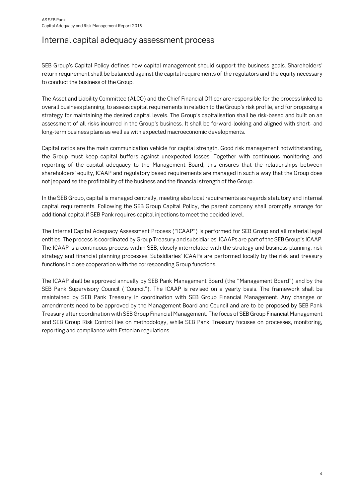## <span id="page-3-0"></span>Internal capital adequacy assessment process

SEB Group's Capital Policy defines how capital management should support the business goals. Shareholders' return requirement shall be balanced against the capital requirements of the regulators and the equity necessary to conduct the business of the Group.

The Asset and Liability Committee (ALCO) and the Chief Financial Officer are responsible for the process linked to overall business planning, to assess capital requirements in relation to the Group's risk profile, and for proposing a strategy for maintaining the desired capital levels. The Group's capitalisation shall be risk-based and built on an assessment of all risks incurred in the Group's business. It shall be forward-looking and aligned with short- and long-term business plans as well as with expected macroeconomic developments.

Capital ratios are the main communication vehicle for capital strength. Good risk management notwithstanding, the Group must keep capital buffers against unexpected losses. Together with continuous monitoring, and reporting of the capital adequacy to the Management Board, this ensures that the relationships between shareholders' equity, ICAAP and regulatory based requirements are managed in such a way that the Group does not jeopardise the profitability of the business and the financial strength of the Group.

In the SEB Group, capital is managed centrally, meeting also local requirements as regards statutory and internal capital requirements. Following the SEB Group Capital Policy, the parent company shall promptly arrange for additional capital if SEB Pank requires capital injections to meet the decided level.

The Internal Capital Adequacy Assessment Process ("ICAAP") is performed for SEB Group and all material legal entities. The process is coordinated by Group Treasury and subsidiaries' ICAAPs are part of the SEB Group's ICAAP. The ICAAP is a continuous process within SEB, closely interrelated with the strategy and business planning, risk strategy and financial planning processes. Subsidiaries' ICAAPs are performed locally by the risk and treasury functions in close cooperation with the corresponding Group functions.

The ICAAP shall be approved annually by SEB Pank Management Board (the "Management Board") and by the SEB Pank Supervisory Council ("Council"). The ICAAP is revised on a yearly basis. The framework shall be maintained by SEB Pank Treasury in coordination with SEB Group Financial Management. Any changes or amendments need to be approved by the Management Board and Council and are to be proposed by SEB Pank Treasury after coordination with SEB Group Financial Management. The focus of SEB Group Financial Management and SEB Group Risk Control lies on methodology, while SEB Pank Treasury focuses on processes, monitoring, reporting and compliance with Estonian regulations.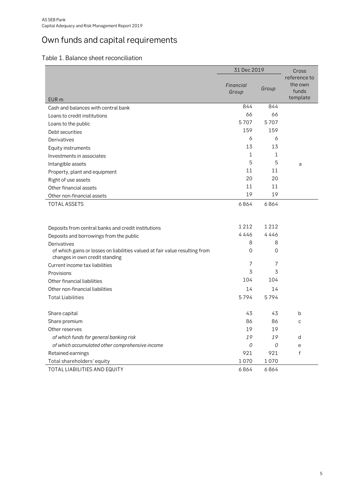# <span id="page-4-0"></span>Own funds and capital requirements

<span id="page-4-1"></span>

|                                                                                                               | 31 Dec 2019        | Cross   |                                              |
|---------------------------------------------------------------------------------------------------------------|--------------------|---------|----------------------------------------------|
| EUR <sub>m</sub>                                                                                              | Financial<br>Group | Group   | reference to<br>the own<br>funds<br>template |
| Cash and balances with central bank                                                                           | 844                | 844     |                                              |
| Loans to credit institutions                                                                                  | 66                 | 66      |                                              |
| Loans to the public                                                                                           | 5707               | 5707    |                                              |
| Debt securities                                                                                               | 159                | 159     |                                              |
| Derivatives                                                                                                   | 6                  | 6       |                                              |
| Equity instruments                                                                                            | 13                 | 13      |                                              |
| Investments in associates                                                                                     | 1                  | 1       |                                              |
| Intangible assets                                                                                             | 5                  | 5       | a                                            |
| Property, plant and equipment                                                                                 | 11                 | 11      |                                              |
| Right of use assets                                                                                           | 20                 | 20      |                                              |
| Other financial assets                                                                                        | 11                 | 11      |                                              |
| Other non-financial assets                                                                                    | 19                 | 19      |                                              |
| <b>TOTAL ASSETS</b>                                                                                           | 6864               | 6864    |                                              |
|                                                                                                               |                    |         |                                              |
| Deposits from central banks and credit institutions                                                           | 1212               | 1 2 1 2 |                                              |
| Deposits and borrowings from the public                                                                       | 4446               | 4446    |                                              |
| Derivatives                                                                                                   | 8                  | 8       |                                              |
| of which gains or losses on liabilities valued at fair value resulting from<br>changes in own credit standing | $\overline{0}$     | 0       |                                              |
| Current income tax liabilities                                                                                | 7                  | 7       |                                              |
| Provisions                                                                                                    | 3                  | 3       |                                              |
| Other financial liabilities                                                                                   | 104                | 104     |                                              |
| Other non-financial liabilities                                                                               | 14                 | 14      |                                              |
| <b>Total Liabilities</b>                                                                                      | 5794               | 5794    |                                              |
| Share capital                                                                                                 | 43                 | 43      | b                                            |
| Share premium                                                                                                 | 86                 | 86      | C                                            |
| Other reserves                                                                                                | 19                 | 19      |                                              |
| of which funds for general banking risk                                                                       | 19                 | 19      | d                                            |
| of which accumulated other comprehensive income                                                               | 0                  | 0       | e                                            |
| Retained earnings                                                                                             | 921                | 921     | $\mathsf{f}$                                 |
| Total shareholders' equity                                                                                    | 1070               | 1070    |                                              |
| TOTAL LIABILITIES AND EQUITY                                                                                  | 6864               | 6864    |                                              |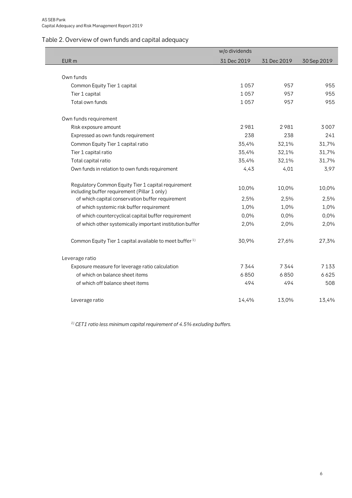## <span id="page-5-0"></span>Table 2. Overview of own funds and capital adequacy

|                                                                                                     | w/o dividends |             |             |
|-----------------------------------------------------------------------------------------------------|---------------|-------------|-------------|
| EUR <sub>m</sub>                                                                                    | 31 Dec 2019   | 31 Dec 2019 | 30 Sep 2019 |
|                                                                                                     |               |             |             |
| Own funds                                                                                           |               |             |             |
| Common Equity Tier 1 capital                                                                        | 1057          | 957         | 955         |
| Tier 1 capital                                                                                      | 1057          | 957         | 955         |
| Total own funds                                                                                     | 1057          | 957         | 955         |
| Own funds requirement                                                                               |               |             |             |
| Risk exposure amount                                                                                | 2981          | 2981        | 3007        |
| Expressed as own funds requirement                                                                  | 238           | 238         | 241         |
| Common Equity Tier 1 capital ratio                                                                  | 35,4%         | 32,1%       | 31,7%       |
| Tier 1 capital ratio                                                                                | 35,4%         | 32,1%       | 31,7%       |
| Total capital ratio                                                                                 | 35,4%         | 32,1%       | 31,7%       |
| Own funds in relation to own funds requirement                                                      | 4,43          | 4,01        | 3,97        |
| Regulatory Common Equity Tier 1 capital requirement<br>including buffer requirement (Pillar 1 only) | 10,0%         | 10,0%       | 10,0%       |
| of which capital conservation buffer requirement                                                    | 2,5%          | 2,5%        | 2,5%        |
| of which systemic risk buffer requirement                                                           | 1,0%          | 1,0%        | 1,0%        |
| of which countercyclical capital buffer requirement                                                 | 0,0%          | 0,0%        | 0,0%        |
| of which other systemically important institution buffer                                            | 2,0%          | 2,0%        | 2,0%        |
| Common Equity Tier 1 capital available to meet buffer <sup>1)</sup>                                 | 30,9%         | 27,6%       | 27,3%       |
| Leverage ratio                                                                                      |               |             |             |
| Exposure measure for leverage ratio calculation                                                     | 7344          | 7344        | 7133        |
| of which on balance sheet items                                                                     | 6850          | 6850        | 6625        |
| of which off balance sheet items                                                                    | 494           | 494         | 508         |
| Leverage ratio                                                                                      | 14,4%         | 13,0%       | 13,4%       |

**1) CET1 ratio less minimum capital requirement of 4.5% excluding buffers.**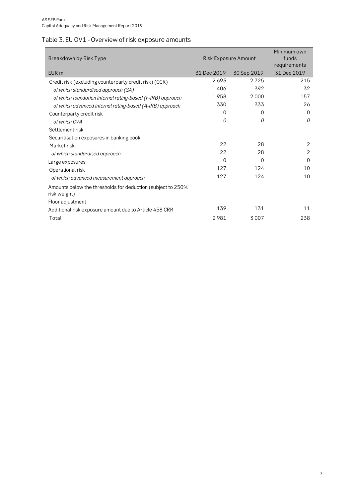## <span id="page-6-0"></span>Table 3. EU OV1 - Overview of risk exposure amounts

| Breakdown by Risk Type                                                      | Risk Exposure Amount | Minimum own<br>funds<br>requirements |                |
|-----------------------------------------------------------------------------|----------------------|--------------------------------------|----------------|
| EUR <sub>m</sub>                                                            | 31 Dec 2019          | 30 Sep 2019                          | 31 Dec 2019    |
| Credit risk (excluding counterparty credit risk) (CCR)                      | 2693                 | 2725                                 | 215            |
| of which standardised approach (SA)                                         | 406                  | 392                                  | 32             |
| of which foundation internal rating-based (F-IRB) approach                  | 1958                 | 2000                                 | 157            |
| of which advanced internal rating-based (A-IRB) approach                    | 330                  | 333                                  | 26             |
| Counterparty credit risk                                                    | 0                    | 0                                    | $\Omega$       |
| of which CVA                                                                | 0                    | 0                                    | $\Omega$       |
| Settlement risk                                                             |                      |                                      |                |
| Securitisation exposures in banking book                                    |                      |                                      |                |
| Market risk                                                                 | 22                   | 28                                   | 2              |
| of which standardised approach                                              | 22                   | 28                                   | $\overline{2}$ |
| Large exposures                                                             | 0                    | 0                                    | $\Omega$       |
| Operational risk                                                            | 127                  | 124                                  | 10             |
| of which advanced measurement approach                                      | 127                  | 124                                  | 10             |
| Amounts below the thresholds for deduction (subject to 250%<br>risk weight) |                      |                                      |                |
| Floor adjustment                                                            |                      |                                      |                |
| Additional risk exposure amount due to Article 458 CRR                      | 139                  | 131                                  | 11             |
| Total                                                                       | 2981                 | 3007                                 | 238            |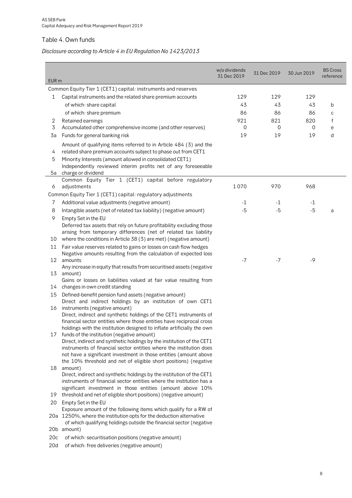## <span id="page-7-0"></span>Table 4. Own funds

## **Disclosure according to Article 4 in EU Regulation No 1423/2013**

| EUR <sub>m</sub> |                                                                                                                                        | w/o dividends<br>31 Dec 2019 | 31 Dec 2019 | 30 Jun 2019 | <b>BS Cross</b><br>reference |
|------------------|----------------------------------------------------------------------------------------------------------------------------------------|------------------------------|-------------|-------------|------------------------------|
|                  | Common Equity Tier 1 (CET1) capital: instruments and reserves                                                                          |                              |             |             |                              |
| 1                | Capital instruments and the related share premium accounts                                                                             | 129                          | 129         | 129         |                              |
|                  | of which: share capital                                                                                                                | 43                           | 43          | 43          | b                            |
|                  |                                                                                                                                        |                              |             |             |                              |
|                  | of which: share premium                                                                                                                | 86                           | 86          | 86          | C                            |
| 2                | Retained earnings                                                                                                                      | 921                          | 821         | 820         | f                            |
| 3                | Accumulated other comprehensive income (and other reserves)                                                                            | 0                            | 0           | 0           | e                            |
| 3a               | Funds for general banking risk                                                                                                         | 19                           | 19          | 19          | d                            |
| 4                | Amount of qualifying items referred to in Article 484 (3) and the<br>related share premium accounts subject to phase out from CET1     |                              |             |             |                              |
| 5                | Minority Interests (amount allowed in consolidated CET1)                                                                               |                              |             |             |                              |
|                  | Independently reviewed interim profits net of any foreseeable                                                                          |                              |             |             |                              |
| 5a               | charge or dividend                                                                                                                     |                              |             |             |                              |
|                  | Common Equity Tier 1 (CET1) capital before regulatory                                                                                  |                              |             |             |                              |
| 6                | adjustments                                                                                                                            | 1070                         | 970         | 968         |                              |
|                  | Common Equity Tier 1 (CET1) capital: regulatory adjustments                                                                            |                              |             |             |                              |
| 7                | Additional value adjustments (negative amount)                                                                                         | -1                           | -1          | -1          |                              |
| 8                | Intangible assets (net of related tax liability) (negative amount)                                                                     | $-5$                         | $-5$        | $-5$        | a                            |
| 9                | Empty Set in the EU                                                                                                                    |                              |             |             |                              |
|                  | Deferred tax assets that rely on future profitability excluding those                                                                  |                              |             |             |                              |
|                  | arising from temporary differences (net of related tax liability                                                                       |                              |             |             |                              |
| 10               | where the conditions in Article 38 (3) are met) (negative amount)                                                                      |                              |             |             |                              |
| 11               | Fair value reserves related to gains or losses on cash flow hedges<br>Negative amounts resulting from the calculation of expected loss |                              |             |             |                              |
| 12               | amounts                                                                                                                                | $-7$                         | $-7$        | $-9$        |                              |
|                  | Any increase in equity that results from securitised assets (negative                                                                  |                              |             |             |                              |
| 13               | amount)                                                                                                                                |                              |             |             |                              |
|                  | Gains or losses on liabilities valued at fair value resulting from                                                                     |                              |             |             |                              |
| 14               | changes in own credit standing                                                                                                         |                              |             |             |                              |
| 15               | Defined-benefit pension fund assets (negative amount)<br>Direct and indirect holdings by an institution of own CET1                    |                              |             |             |                              |
| 16               | instruments (negative amount)<br>Direct, indirect and synthetic holdings of the CET1 instruments of                                    |                              |             |             |                              |
|                  | financial sector entities where those entities have reciprocal cross                                                                   |                              |             |             |                              |
|                  | holdings with the institution designed to inflate artificially the own                                                                 |                              |             |             |                              |
| 17               | funds of the institution (negative amount)                                                                                             |                              |             |             |                              |
|                  | Direct, indirect and synthetic holdings by the institution of the CET1                                                                 |                              |             |             |                              |
|                  | instruments of financial sector entities where the institution does                                                                    |                              |             |             |                              |
|                  | not have a significant investment in those entities (amount above                                                                      |                              |             |             |                              |
|                  | the 10% threshold and net of eligible short positions) (negative                                                                       |                              |             |             |                              |
| 18               | amount)                                                                                                                                |                              |             |             |                              |
|                  | Direct, indirect and synthetic holdings by the institution of the CET1                                                                 |                              |             |             |                              |
|                  | instruments of financial sector entities where the institution has a<br>significant investment in those entities (amount above 10%     |                              |             |             |                              |
| 19               | threshold and net of eligible short positions) (negative amount)                                                                       |                              |             |             |                              |
| 20               | Empty Set in the EU                                                                                                                    |                              |             |             |                              |
|                  | Exposure amount of the following items which qualify for a RW of                                                                       |                              |             |             |                              |
|                  | 20a 1250%, where the institution opts for the deduction alternative                                                                    |                              |             |             |                              |
|                  | of which qualifying holdings outside the financial sector (negative                                                                    |                              |             |             |                              |
|                  | 20b amount)                                                                                                                            |                              |             |             |                              |
| 20c              | of which: securitisation positions (negative amount)                                                                                   |                              |             |             |                              |
| 20d              | of which: free deliveries (negative amount)                                                                                            |                              |             |             |                              |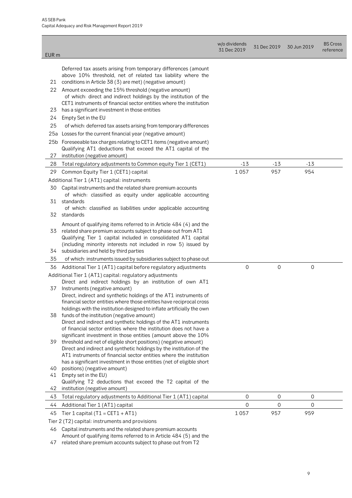| EUR <sub>m</sub> |                                                                                                                                                                                                 | w/o dividends<br>31 Dec 2019 | 31 Dec 2019 | 30 Jun 2019      | <b>BS Cross</b><br>reference |
|------------------|-------------------------------------------------------------------------------------------------------------------------------------------------------------------------------------------------|------------------------------|-------------|------------------|------------------------------|
|                  |                                                                                                                                                                                                 |                              |             |                  |                              |
| 21               | Deferred tax assets arising from temporary differences (amount<br>above 10% threshold, net of related tax liability where the<br>conditions in Article 38 (3) are met) (negative amount)        |                              |             |                  |                              |
| 22               | Amount exceeding the 15% threshold (negative amount)<br>of which: direct and indirect holdings by the institution of the<br>CET1 instruments of financial sector entities where the institution |                              |             |                  |                              |
| 23               | has a significant investment in those entities                                                                                                                                                  |                              |             |                  |                              |
| 24               | Empty Set in the EU                                                                                                                                                                             |                              |             |                  |                              |
| 25               | of which: deferred tax assets arising from temporary differences                                                                                                                                |                              |             |                  |                              |
| 25a              | Losses for the current financial year (negative amount)                                                                                                                                         |                              |             |                  |                              |
|                  | 25b Foreseeable tax charges relating to CET1 items (negative amount)<br>Qualifying AT1 deductions that exceed the AT1 capital of the                                                            |                              |             |                  |                              |
| 27               | institution (negative amount)                                                                                                                                                                   |                              |             |                  |                              |
| 28               | Total regulatory adjustments to Common equity Tier 1 (CET1)                                                                                                                                     | $-13$                        | $-13$       | $-13$            |                              |
| 29               | Common Equity Tier 1 (CET1) capital                                                                                                                                                             | 1057                         | 957         | 954              |                              |
|                  | Additional Tier 1 (AT1) capital: instruments                                                                                                                                                    |                              |             |                  |                              |
| 30               | Capital instruments and the related share premium accounts                                                                                                                                      |                              |             |                  |                              |
|                  | of which: classified as equity under applicable accounting<br>31 standards                                                                                                                      |                              |             |                  |                              |
|                  | of which: classified as liabilities under applicable accounting                                                                                                                                 |                              |             |                  |                              |
|                  | 32 standards                                                                                                                                                                                    |                              |             |                  |                              |
|                  | Amount of qualifying items referred to in Article 484 (4) and the                                                                                                                               |                              |             |                  |                              |
| 33               | related share premium accounts subject to phase out from AT1<br>Qualifying Tier 1 capital included in consolidated AT1 capital                                                                  |                              |             |                  |                              |
|                  | (including minority interests not included in row 5) issued by                                                                                                                                  |                              |             |                  |                              |
| 34               | subsidiaries and held by third parties                                                                                                                                                          |                              |             |                  |                              |
| 35               | of which: instruments issued by subsidiaries subject to phase out                                                                                                                               |                              |             |                  |                              |
| 36               | Additional Tier 1 (AT1) capital before regulatory adjustments                                                                                                                                   | 0                            | 0           | $\boldsymbol{0}$ |                              |
|                  | Additional Tier 1 (AT1) capital: regulatory adjustments                                                                                                                                         |                              |             |                  |                              |
|                  | Direct and indirect holdings by an institution of own AT1                                                                                                                                       |                              |             |                  |                              |
| 37               | Instruments (negative amount)                                                                                                                                                                   |                              |             |                  |                              |
|                  | Direct, indirect and synthetic holdings of the AT1 instruments of                                                                                                                               |                              |             |                  |                              |
|                  | financial sector entities where those entities have reciprocal cross                                                                                                                            |                              |             |                  |                              |
| 38               | holdings with the institution designed to inflate artificially the own<br>funds of the institution (negative amount)                                                                            |                              |             |                  |                              |
|                  | Direct and indirect and synthetic holdings of the AT1 instruments                                                                                                                               |                              |             |                  |                              |
|                  | of financial sector entities where the institution does not have a                                                                                                                              |                              |             |                  |                              |
|                  | significant investment in those entities (amount above the 10%                                                                                                                                  |                              |             |                  |                              |
| 39               | threshold and net of eligible short positions) (negative amount)                                                                                                                                |                              |             |                  |                              |
|                  | Direct and indirect and synthetic holdings by the institution of the                                                                                                                            |                              |             |                  |                              |
|                  | AT1 instruments of financial sector entities where the institution                                                                                                                              |                              |             |                  |                              |
| 40               | has a significant investment in those entities (net of eligible short<br>positions) (negative amount)                                                                                           |                              |             |                  |                              |
| 41               | Empty set in the EU)                                                                                                                                                                            |                              |             |                  |                              |
|                  | Qualifying T2 deductions that exceed the T2 capital of the                                                                                                                                      |                              |             |                  |                              |
| 42               | institution (negative amount)                                                                                                                                                                   |                              |             |                  |                              |
| 43               | Total regulatory adjustments to Additional Tier 1 (AT1) capital                                                                                                                                 | 0                            | 0           | 0                |                              |
| 44               | Additional Tier 1 (AT1) capital                                                                                                                                                                 | 0                            | 0           | $\mathbf 0$      |                              |
| 45               | Tier 1 capital ( $T1 = CET1 + AT1$ )                                                                                                                                                            | 1057                         | 957         | 959              |                              |
|                  | Tier 2 (T2) capital: instruments and provisions                                                                                                                                                 |                              |             |                  |                              |
| 46               | Capital instruments and the related share premium accounts                                                                                                                                      |                              |             |                  |                              |
|                  | Amount of qualifying items referred to in Article 484 (5) and the                                                                                                                               |                              |             |                  |                              |

47 related share premium accounts subject to phase out from T2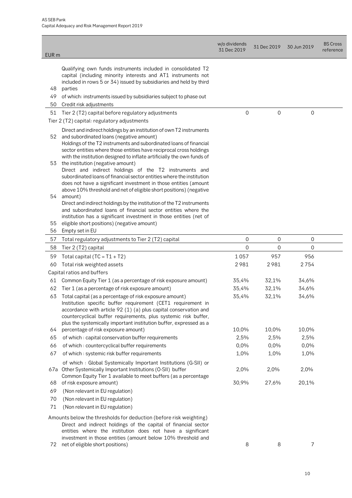|                  |                                                                                                                                                                                                                                                                                                                                         | w/o dividends<br>31 Dec 2019 | 31 Dec 2019 | 30 Jun 2019 | <b>BS Cross</b><br>reference |
|------------------|-----------------------------------------------------------------------------------------------------------------------------------------------------------------------------------------------------------------------------------------------------------------------------------------------------------------------------------------|------------------------------|-------------|-------------|------------------------------|
| EUR <sub>m</sub> |                                                                                                                                                                                                                                                                                                                                         |                              |             |             |                              |
| 48               | Qualifying own funds instruments included in consolidated T2<br>capital (including minority interests and AT1 instruments not<br>included in rows 5 or 34) issued by subsidiaries and held by third<br>parties                                                                                                                          |                              |             |             |                              |
| 49               | of which: instruments issued by subsidiaries subject to phase out                                                                                                                                                                                                                                                                       |                              |             |             |                              |
| 50               | Credit risk adjustments                                                                                                                                                                                                                                                                                                                 |                              |             |             |                              |
| 51               | Tier 2 (T2) capital before regulatory adjustments                                                                                                                                                                                                                                                                                       | $\overline{0}$               | $\mathbf 0$ | 0           |                              |
|                  | Tier 2 (T2) capital: regulatory adjustments                                                                                                                                                                                                                                                                                             |                              |             |             |                              |
| 52               | Direct and indirect holdings by an institution of own T2 instruments<br>and subordinated loans (negative amount)<br>Holdings of the T2 instruments and subordinated loans of financial<br>sector entities where those entities have reciprocal cross holdings<br>with the institution designed to inflate artificially the own funds of |                              |             |             |                              |
| 53               | the institution (negative amount)<br>Direct and indirect holdings of the T2 instruments and<br>subordinated loans of financial sector entities where the institution<br>does not have a significant investment in those entities (amount<br>above 10% threshold and net of eligible short positions) (negative                          |                              |             |             |                              |
| 54               | amount)<br>Direct and indirect holdings by the institution of the T2 instruments<br>and subordinated loans of financial sector entities where the<br>institution has a significant investment in those entities (net of                                                                                                                 |                              |             |             |                              |
| 55               | eligible short positions) (negative amount)                                                                                                                                                                                                                                                                                             |                              |             |             |                              |
| 56               | Empty set in EU                                                                                                                                                                                                                                                                                                                         |                              |             |             |                              |
| 57               | Total regulatory adjustments to Tier 2 (T2) capital                                                                                                                                                                                                                                                                                     | $\mathbf 0$                  | 0           | 0           |                              |
| 58               | Tier 2 (T2) capital                                                                                                                                                                                                                                                                                                                     | $\overline{0}$               | 0           | $\mathbf 0$ |                              |
| 59               | Total capital $(TC = T1 + T2)$                                                                                                                                                                                                                                                                                                          | 1057                         | 957         | 956         |                              |
| 60               | Total risk weighted assets                                                                                                                                                                                                                                                                                                              | 2981                         | 2981        | 2754        |                              |
|                  | Capital ratios and buffers                                                                                                                                                                                                                                                                                                              |                              |             |             |                              |
| 61               | Common Equity Tier 1 (as a percentage of risk exposure amount)                                                                                                                                                                                                                                                                          | 35,4%                        | 32,1%       | 34,6%       |                              |
| 62               | Tier 1 (as a percentage of risk exposure amount)                                                                                                                                                                                                                                                                                        | 35,4%                        | 32,1%       | 34,6%       |                              |
| 63               | Total capital (as a percentage of risk exposure amount)<br>Institution specific buffer requirement (CET1 requirement in<br>accordance with article 92 (1) (a) plus capital conservation and<br>countercyclical buffer requirements, plus systemic risk buffer,<br>plus the systemically important institution buffer, expressed as a    | 35,4%                        | 32,1%       | 34,6%       |                              |
| 64               | percentage of risk exposure amount)                                                                                                                                                                                                                                                                                                     | 10,0%                        | 10,0%       | 10,0%       |                              |
| 65               | of which: capital conservation buffer requirements                                                                                                                                                                                                                                                                                      | 2,5%                         | 2,5%        | 2,5%        |                              |
| 66               | of which: countercyclical buffer requirements                                                                                                                                                                                                                                                                                           | 0,0%                         | 0,0%        | 0,0%        |                              |
| 67               | of which: systemic risk buffer requirements                                                                                                                                                                                                                                                                                             | 1,0%                         | 1,0%        | 1,0%        |                              |
|                  | of which: Global Systemically Important Institutions (G-SII) or<br>67a Other Systemically Important Institutions (O-SII) buffer<br>Common Equity Tier 1 available to meet buffers (as a percentage                                                                                                                                      | 2,0%                         | 2,0%        | 2,0%        |                              |
| 68               | of risk exposure amount)                                                                                                                                                                                                                                                                                                                | 30,9%                        | 27,6%       | 20,1%       |                              |
| 69               | (Non relevant in EU regulation)                                                                                                                                                                                                                                                                                                         |                              |             |             |                              |
| 70               | (Non relevant in EU regulation)                                                                                                                                                                                                                                                                                                         |                              |             |             |                              |
| 71               | (Non relevant in EU regulation)                                                                                                                                                                                                                                                                                                         |                              |             |             |                              |
|                  | Amounts below the thresholds for deduction (before risk weighting)<br>Direct and indirect holdings of the capital of financial sector<br>entities where the institution does not have a significant<br>investment in those entities (amount below 10% threshold and                                                                     |                              |             |             |                              |
|                  | 72 net of eligible short positions)                                                                                                                                                                                                                                                                                                     | 8                            | 8           | 7           |                              |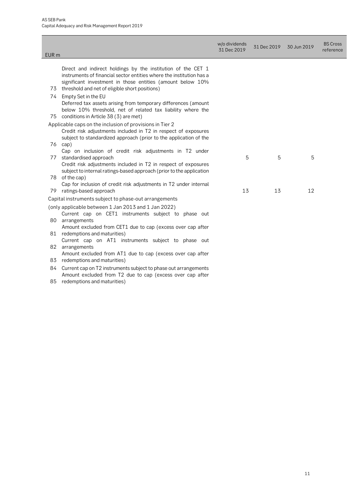|                  |                                                                                                                                                                                                    | w/o dividends<br>31 Dec 2019 | 31 Dec 2019 | 30 Jun 2019 | <b>BS Cross</b><br>reference |
|------------------|----------------------------------------------------------------------------------------------------------------------------------------------------------------------------------------------------|------------------------------|-------------|-------------|------------------------------|
| EUR <sub>m</sub> |                                                                                                                                                                                                    |                              |             |             |                              |
|                  |                                                                                                                                                                                                    |                              |             |             |                              |
|                  | Direct and indirect holdings by the institution of the CET 1<br>instruments of financial sector entities where the institution has a<br>significant investment in those entities (amount below 10% |                              |             |             |                              |
| 73               | threshold and net of eligible short positions)                                                                                                                                                     |                              |             |             |                              |
| 74               | Empty Set in the EU<br>Deferred tax assets arising from temporary differences (amount<br>below 10% threshold, net of related tax liability where the                                               |                              |             |             |                              |
| 75               | conditions in Article 38 (3) are met)                                                                                                                                                              |                              |             |             |                              |
|                  | Applicable caps on the inclusion of provisions in Tier 2<br>Credit risk adjustments included in T2 in respect of exposures<br>subject to standardized approach (prior to the application of the    |                              |             |             |                              |
| 76               | cap)                                                                                                                                                                                               |                              |             |             |                              |
| 77               | Cap on inclusion of credit risk adjustments in T2 under<br>standardised approach                                                                                                                   | 5                            | 5           | 5           |                              |
| 78               | Credit risk adjustments included in T2 in respect of exposures<br>subject to internal ratings-based approach (prior to the application<br>of the cap)                                              |                              |             |             |                              |
|                  | Cap for inclusion of credit risk adjustments in T2 under internal                                                                                                                                  |                              |             |             |                              |
| 79               | ratings-based approach                                                                                                                                                                             | 13                           | 13          | 12          |                              |
|                  | Capital instruments subject to phase-out arrangements                                                                                                                                              |                              |             |             |                              |
|                  | (only applicable between 1 Jan 2013 and 1 Jan 2022)<br>Current cap on CET1 instruments subject to phase out                                                                                        |                              |             |             |                              |
| 80               | arrangements<br>Amount excluded from CET1 due to cap (excess over cap after                                                                                                                        |                              |             |             |                              |
| 81               | redemptions and maturities)                                                                                                                                                                        |                              |             |             |                              |
| 82               | Current cap on AT1 instruments subject to phase out<br>arrangements                                                                                                                                |                              |             |             |                              |
| 83               | Amount excluded from AT1 due to cap (excess over cap after<br>redemptions and maturities)                                                                                                          |                              |             |             |                              |
| 84.              | Current cap on T2 instruments subject to phase out arrangements<br>Amount excluded from T2 due to cap (excess over cap after                                                                       |                              |             |             |                              |
| 85               | redemptions and maturities)                                                                                                                                                                        |                              |             |             |                              |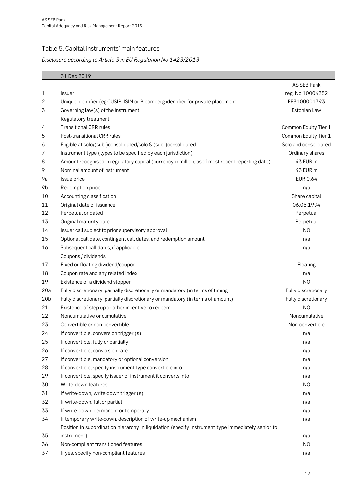## <span id="page-11-0"></span>Table 5. Capital instruments' main features

### **Disclosure according to Article 3 in EU Regulation No 1423/2013**

|                 | 31 Dec 2019                                                                                       |                       |
|-----------------|---------------------------------------------------------------------------------------------------|-----------------------|
|                 |                                                                                                   | AS SEB Pank           |
| 1               | <b>Issuer</b>                                                                                     | reg. No 10004252      |
| 2               | Unique identifier (eg CUSIP, ISIN or Bloomberg identifier for private placement                   | EE3100001793          |
| 3               | Governing law(s) of the instrument                                                                | Estonian Law          |
|                 | Regulatory treatment                                                                              |                       |
| 4               | <b>Transitional CRR rules</b>                                                                     | Common Equity Tier 1  |
| 5               | Post-transitional CRR rules                                                                       | Common Equity Tier 1  |
| 6               | Eligible at solo/(sub-)consolidated/solo & (sub-)consolidated                                     | Solo and consolidated |
| 7               | Instrument type (types to be specified by each jurisdiction)                                      | Ordinary shares       |
| 8               | Amount recognised in regulatory capital (currency in million, as of most recent reporting date)   | 43 EUR m              |
| 9               | Nominal amount of instrument                                                                      | 43 EUR m              |
| 9a              | Issue price                                                                                       | <b>EUR 0,64</b>       |
| 9b              | Redemption price                                                                                  | n/a                   |
| 10              | Accounting classification                                                                         | Share capital         |
| 11              | Original date of issuance                                                                         | 06.05.1994            |
| 12              | Perpetual or dated                                                                                | Perpetual             |
| 13              | Original maturity date                                                                            | Perpetual             |
| 14              | Issuer call subject to prior supervisory approval                                                 | N <sub>O</sub>        |
| 15              | Optional call date, contingent call dates, and redemption amount                                  | n/a                   |
| 16              | Subsequent call dates, if applicable                                                              | n/a                   |
|                 | Coupons / dividends                                                                               |                       |
| 17              | Fixed or floating dividend/coupon                                                                 | Floating              |
| 18              | Coupon rate and any related index                                                                 | n/a                   |
| 19              | Existence of a dividend stopper                                                                   | N <sub>O</sub>        |
| 20a             | Fully discretionary, partially discretionary or mandatory (in terms of timing                     | Fully discretionary   |
| 20 <sub>b</sub> | Fully discretionary, partially discretionary or mandatory (in terms of amount)                    | Fully discretionary   |
| 21              | Existence of step up or other incentive to redeem                                                 | N <sub>O</sub>        |
| 22              | Noncumulative or cumulative                                                                       | Noncumulative         |
| 23              | Convertible or non-convertible                                                                    | Non-convertible       |
| 24              | If convertible, conversion trigger (s)                                                            | n/a                   |
| 25              | If convertible, fully or partially                                                                | n/a                   |
| 26              | If convertible, conversion rate                                                                   | n/a                   |
| 27              | If convertible, mandatory or optional conversion                                                  | n/a                   |
| 28              | If convertible, specify instrument type convertible into                                          | n/a                   |
| 29              | If convertible, specify issuer of instrument it converts into                                     | n/a                   |
| 30              | Write-down features                                                                               | N <sub>O</sub>        |
| 31              | If write-down, write-down trigger (s)                                                             | n/a                   |
| 32              | If write-down, full or partial                                                                    | n/a                   |
| 33              | If write-down, permanent or temporary                                                             | n/a                   |
| 34              | If temporary write-down, description of write-up mechanism                                        | n/a                   |
|                 | Position in subordination hierarchy in liquidation (specify instrument type immediately senior to |                       |
| 35              | instrument)                                                                                       | n/a                   |
| 36              | Non-compliant transitioned features                                                               | N <sub>O</sub>        |
| 37              | If yes, specify non-compliant features                                                            | n/a                   |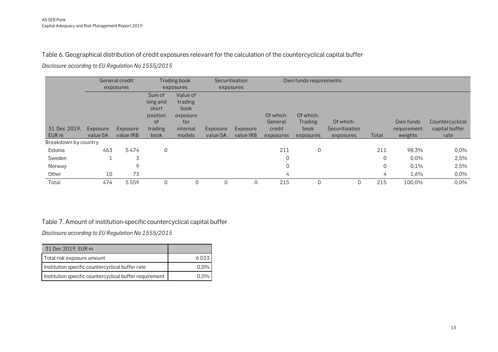#### Table 6. Geographical distribution of credit exposures relevant for the calculation of the countercyclical capital buffer

**Disclosure according to EU Regulation No 1555/2015**

|                      |          | General credit |             | Trading book |          | Securitisation |             | Own funds requirements |                |       |             |                 |
|----------------------|----------|----------------|-------------|--------------|----------|----------------|-------------|------------------------|----------------|-------|-------------|-----------------|
|                      |          | exposures      |             | exposures    |          | exposures      |             |                        |                |       |             |                 |
|                      |          |                | Sum of      | Value of     |          |                |             |                        |                |       |             |                 |
|                      |          |                | long and    | trading      |          |                |             |                        |                |       |             |                 |
|                      |          |                | short       | book         |          |                |             |                        |                |       |             |                 |
|                      |          |                | position    | exposure     |          |                | Of which:   | Of which:              |                |       |             |                 |
|                      |          |                | οf          | for          |          |                | General     | Trading                | Of which:      |       | Own funds   | Countercyclical |
| 31 Dec 2019.         | Exposure | Exposure       | trading     | internal     | Exposure | Exposure       | credit      | book                   | Securitisation |       | requirement | capital buffer  |
| EUR m                | value SA | value IRB      | book        | models       | value SA | value IRB      | exposures   | exposures              | exposures      | Total | weights     | rate            |
| Breakdown by country |          |                |             |              |          |                |             |                        |                |       |             |                 |
| Estonia              | 463      | 5474           | $\mathbf 0$ |              |          |                | 211         | 0                      |                | 211   | 98,3%       | 0,0%            |
| Sweden               |          | 3              |             |              |          |                | $\mathbf 0$ |                        |                | 0     | 0,0%        | 2,5%            |
| Norway               |          | 9              |             |              |          |                | $\mathbf 0$ |                        |                | 0     | 0,1%        | 2,5%            |
| Other                | 10       | 73             |             |              |          |                | 4           |                        |                | 4     | 1,6%        | 0,0%            |
| Total                | 474      | 5559           | $\Omega$    | $\Omega$     | $\Omega$ | $\mathbf 0$    | 215         | $\Omega$               | 0              | 215   | 100,0%      | 0,0%            |

#### <span id="page-12-0"></span>Table 7. Amount of institution-specific countercyclical capital buffer

**Disclosure according to EU Regulation No 1555/2015**

<span id="page-12-1"></span>

| 31 Dec 2019, EUR m                                      |         |
|---------------------------------------------------------|---------|
| Total risk exposure amount                              | 6033    |
| Institution specific countercyclical buffer rate        | $0.0\%$ |
| Institution specific countercyclical buffer requirement |         |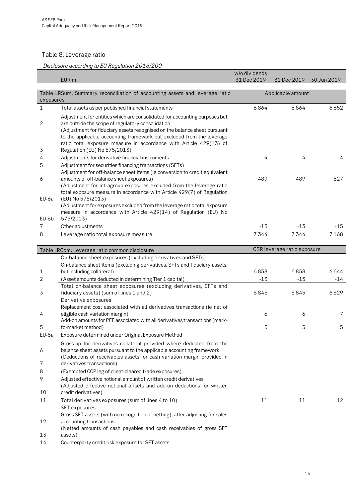## <span id="page-13-0"></span>Table 8. Leverage ratio

## **Disclosure according to EU Regulation 2016/200**

|            |                                                                                                                                                                                                                                                                                                                                                             | w/o dividends |                             |             |
|------------|-------------------------------------------------------------------------------------------------------------------------------------------------------------------------------------------------------------------------------------------------------------------------------------------------------------------------------------------------------------|---------------|-----------------------------|-------------|
|            | EUR <sub>m</sub>                                                                                                                                                                                                                                                                                                                                            | 31 Dec 2019   | 31 Dec 2019                 | 30 Jun 2019 |
|            |                                                                                                                                                                                                                                                                                                                                                             |               |                             |             |
| exposures  | Table LRSum: Summary reconciliation of accounting assets and leverage ratio                                                                                                                                                                                                                                                                                 |               | Applicable amount           |             |
| 1          | Total assets as per published financial statements                                                                                                                                                                                                                                                                                                          | 6864          | 6864                        | 6652        |
| 2          | Adjustment for entities which are consolidated for accounting purposes but<br>are outside the scope of regulatory consolidation<br>(Adjustment for fiduciary assets recognised on the balance sheet pursuant<br>to the applicable accounting framework but excluded from the leverage<br>ratio total exposure measure in accordance with Article 429(13) of |               |                             |             |
| 3          | Regulation (EU) No 575/2013)                                                                                                                                                                                                                                                                                                                                |               |                             |             |
| 4          | Adjustments for derivative financial instruments                                                                                                                                                                                                                                                                                                            | 4             | 4                           | 4           |
| 5          | Adjustment for securities financing transactions (SFTs)<br>Adjustment for off-balance sheet items (ie conversion to credit equivalent                                                                                                                                                                                                                       |               |                             |             |
| 6<br>EU-6a | amounts of off-balance sheet exposures)<br>(Adjustment for intragroup exposures excluded from the leverage ratio<br>total exposure measure in accordance with Article 429(7) of Regulation<br>(EU) No 575/2013)                                                                                                                                             | 489           | 489                         | 527         |
| EU-6b      | (Adjustment for exposures excluded from the leverage ratio total exposure<br>measure in accordance with Article 429(14) of Regulation (EU) No<br>575/2013)                                                                                                                                                                                                  |               |                             |             |
| 7          | Other adjustments                                                                                                                                                                                                                                                                                                                                           | $-13$         | $-13$                       | $-15$       |
| 8          | Leverage ratio total exposure measure                                                                                                                                                                                                                                                                                                                       | 7344          | 7344                        | 7168        |
|            |                                                                                                                                                                                                                                                                                                                                                             |               |                             |             |
|            | Table LRCom: Leverage ratio common disclosure                                                                                                                                                                                                                                                                                                               |               | CRR leverage ratio exposure |             |
| 1          | On-balance sheet exposures (excluding derivatives and SFTs)<br>On-balance sheet items (excluding derivatives, SFTs and fiduciary assets,<br>but including collateral)                                                                                                                                                                                       | 6858          | 6858                        | 6644        |
| 2          | (Asset amounts deducted in determining Tier 1 capital)                                                                                                                                                                                                                                                                                                      | $-13$         | $-13$                       | $-14$       |
| 3          | Total on-balance sheet exposures (excluding derivatives, SFTs and<br>fiduciary assets) (sum of lines 1 and 2)<br>Derivative exposures                                                                                                                                                                                                                       | 6845          | 6845                        | 6629        |
| 4          | Replacement cost associated with all derivatives transactions (ie net of<br>eligible cash variation margin)<br>Add-on amounts for PFE associated with all derivatives transactions (mark-                                                                                                                                                                   | 6             | 6                           | 7           |
| 5          | to-market method)                                                                                                                                                                                                                                                                                                                                           | 5             | 5                           | 5           |
| EU-5a      | Exposure determined under Original Exposure Method                                                                                                                                                                                                                                                                                                          |               |                             |             |
| 6          | Gross-up for derivatives collateral provided where deducted from the<br>balance sheet assets pursuant to the applicable accounting framework<br>(Deductions of receivables assets for cash variation margin provided in                                                                                                                                     |               |                             |             |
| 7          | derivatives transactions)                                                                                                                                                                                                                                                                                                                                   |               |                             |             |
| 8          | (Exempted CCP leg of client-cleared trade exposures)                                                                                                                                                                                                                                                                                                        |               |                             |             |
| 9          | Adjusted effective notional amount of written credit derivatives<br>(Adjusted effective notional offsets and add-on deductions for written                                                                                                                                                                                                                  |               |                             |             |
| 10         | credit derivatives)                                                                                                                                                                                                                                                                                                                                         |               |                             |             |
| 11         | Total derivatives exposures (sum of lines 4 to 10)<br><b>SFT</b> exposures<br>Gross SFT assets (with no recognition of netting), after adjusting for sales                                                                                                                                                                                                  | 11            | 11                          | 12          |
| 12         | accounting transactions<br>(Netted amounts of cash payables and cash receivables of gross SFT                                                                                                                                                                                                                                                               |               |                             |             |
| 13         | assets)                                                                                                                                                                                                                                                                                                                                                     |               |                             |             |
| 14         | Counterparty credit risk exposure for SFT assets                                                                                                                                                                                                                                                                                                            |               |                             |             |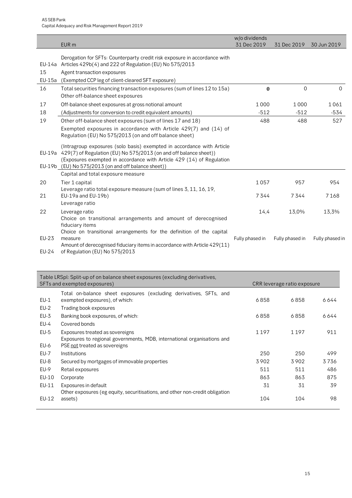|                       | EUR <sub>m</sub>                                                                                                                                                                                                                                                                   | w/o dividends<br>31 Dec 2019 | 31 Dec 2019     | 30 Jun 2019     |
|-----------------------|------------------------------------------------------------------------------------------------------------------------------------------------------------------------------------------------------------------------------------------------------------------------------------|------------------------------|-----------------|-----------------|
| 15<br>EU-15a          | Derogation for SFTs: Counterparty credit risk exposure in accordance with<br>EU-14a Articles 429b(4) and 222 of Regulation (EU) No 575/2013<br>Agent transaction exposures<br>(Exempted CCP leg of client-cleared SFT exposure)                                                    |                              |                 |                 |
| 16                    | Total securities financing transaction exposures (sum of lines 12 to 15a)<br>Other off-balance sheet exposures                                                                                                                                                                     | $\bf{0}$                     | $\overline{0}$  | $\Omega$        |
| 17<br>18              | Off-balance sheet exposures at gross notional amount<br>(Adjustments for conversion to credit equivalent amounts)                                                                                                                                                                  | 1000<br>$-512$               | 1000<br>$-512$  | 1061<br>$-534$  |
| 19                    | Other off-balance sheet exposures (sum of lines 17 and 18)<br>Exempted exposures in accordance with Article 429(7) and (14) of<br>Regulation (EU) No 575/2013 (on and off balance sheet)                                                                                           | 488                          | 488             | 527             |
|                       | (Intragroup exposures (solo basis) exempted in accordance with Article<br>EU-19a 429(7) of Regulation (EU) No 575/2013 (on and off balance sheet))<br>(Exposures exempted in accordance with Article 429 (14) of Regulation<br>EU-19b (EU) No 575/2013 (on and off balance sheet)) |                              |                 |                 |
|                       | Capital and total exposure measure                                                                                                                                                                                                                                                 |                              |                 |                 |
| 20                    | Tier 1 capital<br>Leverage ratio total exposure measure (sum of lines 3, 11, 16, 19,                                                                                                                                                                                               | 1057                         | 957             | 954             |
| 21                    | EU-19a and EU-19b)<br>Leverage ratio                                                                                                                                                                                                                                               | 7344                         | 7344            | 7168            |
| 22                    | Leverage ratio<br>Choice on transitional arrangements and amount of derecognised<br>fiduciary items                                                                                                                                                                                | 14,4                         | 13,0%           | 13,3%           |
| <b>EU-23</b><br>EU-24 | Choice on transitional arrangements for the definition of the capital<br>measure<br>Amount of derecognised fiduciary items in accordance with Article 429(11)<br>of Regulation (EU) No 575/2013                                                                                    | Fully phased in              | Fully phased in | Fully phased in |

<span id="page-14-0"></span>

|             | Table LRSpl: Split-up of on balance sheet exposures (excluding derivatives,<br>SFTs and exempted exposures)<br>CRR leverage ratio exposure |         |      |      |  |  |  |  |  |  |  |
|-------------|--------------------------------------------------------------------------------------------------------------------------------------------|---------|------|------|--|--|--|--|--|--|--|
|             | Total on-balance sheet exposures (excluding derivatives, SFTs, and                                                                         |         |      |      |  |  |  |  |  |  |  |
| $EU-1$      | exempted exposures), of which:                                                                                                             | 6858    | 6858 | 6644 |  |  |  |  |  |  |  |
| EU-2        | Trading book exposures                                                                                                                     |         |      |      |  |  |  |  |  |  |  |
| $EU-3$      | Banking book exposures, of which:                                                                                                          | 6858    | 6858 | 6644 |  |  |  |  |  |  |  |
| $EU-4$      | Covered bonds                                                                                                                              |         |      |      |  |  |  |  |  |  |  |
| $EU-5$      | Exposures treated as sovereigns                                                                                                            | 1 1 9 7 | 1197 | 911  |  |  |  |  |  |  |  |
|             | Exposures to regional governments, MDB, international organisations and                                                                    |         |      |      |  |  |  |  |  |  |  |
| EU-6        | PSE not treated as sovereigns                                                                                                              |         |      |      |  |  |  |  |  |  |  |
| <b>EU-7</b> | Institutions                                                                                                                               | 250     | 250  | 499  |  |  |  |  |  |  |  |
| EU-8        | Secured by mortgages of immovable properties                                                                                               | 3902    | 3902 | 3736 |  |  |  |  |  |  |  |
| EU-9        | Retail exposures                                                                                                                           | 511     | 511  | 486  |  |  |  |  |  |  |  |
| EU-10       | Corporate                                                                                                                                  | 863     | 863  | 875  |  |  |  |  |  |  |  |
| EU-11       | Exposures in default                                                                                                                       | 31      | 31   | 39   |  |  |  |  |  |  |  |
|             | Other exposures (eg equity, securitisations, and other non-credit obligation                                                               |         |      |      |  |  |  |  |  |  |  |
| EU-12       | assets)                                                                                                                                    | 104     | 104  | 98   |  |  |  |  |  |  |  |
|             |                                                                                                                                            |         |      |      |  |  |  |  |  |  |  |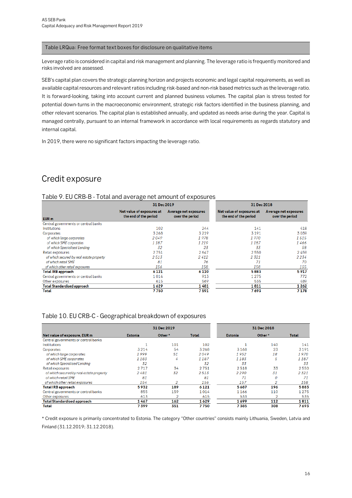#### Table LRQua: Free format text boxes for disclosure on qualitative items

Leverage ratio is considered in capital and risk management and planning. The leverage ratio is frequently monitored and risks involved are assessed.

SEB's capital plan covers the strategic planning horizon and projects economic and legal capital requirements, as well as available capital resources and relevant ratios including risk-based and non-risk based metrics such as the leverage ratio. It is forward-looking, taking into account current and planned business volumes. The capital plan is stress tested for potential down-turns in the macroeconomic environment, strategic risk factors identified in the business planning, and other relevant scenarios. The capital plan is established annually, and updated as needs arise during the year. Capital is managed centrally, pursuant to an internal framework in accordance with local requirements as regards statutory and internal capital.

In 2019, there were no significant factors impacting the leverage ratio.

## Credit exposure

#### Table 9. EU CRB-B - Total and average net amount of exposures

|                                          | $\cdot$                                            |                                          |                                                    |                                          |
|------------------------------------------|----------------------------------------------------|------------------------------------------|----------------------------------------------------|------------------------------------------|
|                                          | 31 Dec 2019                                        |                                          | 31 Dec 2018                                        |                                          |
| EUR <sub>m</sub>                         | Net value of exposures at<br>the end of the period | Average net exposures<br>over the period | Net value of exposures at<br>the end of the period | Average net exposures<br>over the period |
| Central governments or central banks     |                                                    |                                          |                                                    |                                          |
| Institutions                             | 102                                                | 244                                      | 141                                                | 418                                      |
| Corporates                               | 3268                                               | 3219                                     | 3191                                               | 3039                                     |
| of which large corporates                | 2049                                               | 1978                                     | 1970                                               | 1515                                     |
| of which SME corporates                  | 1187                                               | 1219                                     | 1187                                               | 1466                                     |
| of which Specialised Lending             | 32                                                 | 23                                       | 33                                                 | 58                                       |
| Retail exposures                         | 2751                                               | 2647                                     | 2550                                               | 2459                                     |
| of which secured by real estate property | 2513                                               | 2412                                     | 2321                                               | 2234                                     |
| of which retail SME                      | 81                                                 | 76                                       | 71                                                 | 70                                       |
| of which other retail exposures          | 156                                                | 158                                      | 158                                                | 155                                      |
| <b>Total IRB approach</b>                | 6 1 2 1                                            | 6 1 1 0                                  | 5883                                               | 5917                                     |
| Central governments or central banks     | 1014                                               | 913                                      | 1 2 7 5                                            | 772                                      |
| Other exposures                          | 615                                                | 569                                      | 535                                                | 489                                      |
| <b>Total Standardised approach</b>       | 1629                                               | 1481                                     | 1811                                               | 1262                                     |
| Total                                    | 7750                                               | 7591                                     | 7693                                               | 7178                                     |

#### <span id="page-15-0"></span>Table 10. EU CRB-C - Geographical breakdown of exposures

|                                          |                | 31 Dec 2019 |              | 31 Dec 2018    |        |       |  |
|------------------------------------------|----------------|-------------|--------------|----------------|--------|-------|--|
| Net value of exposure, EUR m             | <b>Estonia</b> | Other*      | <b>Total</b> | <b>Estonia</b> | Other* | Total |  |
| Central governments or central banks     |                |             |              |                |        |       |  |
| <b>Institutions</b>                      |                | 101         | 102          |                | 140    | 141   |  |
| Corporates                               | 3214           | 54          | 3268         | 3168           | 23     | 3191  |  |
| of which large corporates                | 1999           | 51          | 2049         | 1952           | 18     | 1970  |  |
| of which SME corporates                  | 1183           | 4           | 1187         | 1183           | 5      | 1187  |  |
| of which Specialised Lending             | 32             |             | 32           | 33             |        | 33    |  |
| Retail exposures                         | 2717           | 34          | 2751         | 2518           | 33     | 2550  |  |
| of which secured by real estate property | 2481           | 32          | 2513         | 2290           | 31     | 2321  |  |
| of which retail SME                      | 81             |             | 81           | 71             | 0      | 71    |  |
| of which other retail exposures          | 154            |             | 156          | 157            |        | 158   |  |
| <b>Total IRB approach</b>                | 5932           | 189         | 6121         | 5687           | 196    | 5883  |  |
| Central governments or central banks     | 855            | 159         | 1014         | 1166           | 110    | 1275  |  |
| Other exposures                          | 613            | 2           | 615          | 533            | 2      | 535   |  |
| <b>Total Standardised approach</b>       | 1467           | 162         | 1629         | 1699           | 112    | 1811  |  |
| Total                                    | 7399           | 351         | 7750         | 7385           | 308    | 7693  |  |

\* Credit exposure is primarily concentrated to Estonia. The category "Other countries" consists mainly Lithuania, Sweden, Latvia and Finland (31.12.2019; 31.12.2018).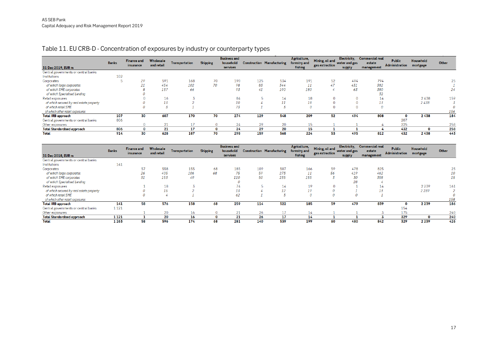### Table 11. EU CRB-D - Concentration of exposures by industry or counterparty types

| 31 Dec 2019, EUR m                       | <b>Banks</b> | <b>Finance and</b><br>insurance | Wholesale<br>and retail | <b>Transportation</b> | <b>Shipping</b> | <b>Business and</b><br>household<br>services |     | <b>Construction Manufacturing</b> | Agriculture,<br>forestry and<br>fishing | Mining, oil and<br>gas extraction | Electricity,<br>water and gas<br>supply | <b>Commercial real</b><br>estate<br>management | <b>Public</b><br>Administration | <b>Household</b><br>mortgage | Other |
|------------------------------------------|--------------|---------------------------------|-------------------------|-----------------------|-----------------|----------------------------------------------|-----|-----------------------------------|-----------------------------------------|-----------------------------------|-----------------------------------------|------------------------------------------------|---------------------------------|------------------------------|-------|
| Central governments or central banks     |              |                                 |                         |                       |                 |                                              |     |                                   |                                         |                                   |                                         |                                                |                                 |                              |       |
| Institutions                             | 102          |                                 |                         |                       |                 |                                              |     |                                   |                                         |                                   |                                         |                                                |                                 |                              |       |
| Corporates                               |              | 29                              | 591                     | 168                   | 70              | 190                                          | 125 | 534                               | 191                                     | 52                                | 494                                     | 794                                            |                                 |                              | 25    |
| of which large corporates                |              | 21                              | 454                     | 102                   | 70              | 98                                           | 83  | 344                               | 11                                      | 47                                | 431                                     | 382                                            |                                 |                              |       |
| of which SME corporates                  |              |                                 | 137                     | 66                    |                 | 93                                           | 41  | 190                               | 180                                     |                                   | 63                                      | 380                                            |                                 |                              | 24    |
| of which Specialised Lending             |              |                                 |                         |                       |                 |                                              |     |                                   |                                         |                                   |                                         | 32                                             |                                 |                              |       |
| Retail exposures                         |              |                                 | 16                      |                       |                 | 84                                           |     | 14                                | 18                                      | $\Omega$                          |                                         | 14                                             |                                 | 2438                         | 159   |
| of which secured by real estate property |              |                                 | 13                      |                       |                 | 10                                           |     |                                   | 18                                      | $\Omega$                          |                                         |                                                |                                 | 2438                         |       |
| of which retail SME                      |              |                                 |                         |                       |                 | 73                                           |     |                                   | $\theta$                                | $\Omega$                          |                                         |                                                |                                 |                              |       |
| of which other retail exposures          |              |                                 |                         |                       |                 |                                              |     |                                   |                                         |                                   |                                         |                                                |                                 |                              | 156   |
| <b>Total IRB approach</b>                | 107          | 30                              | 607                     | 170                   | 70              | 274                                          | 129 | 548                               | 209                                     | 52                                | 494                                     | 808                                            | 0                               | 2438                         | 184   |
| Central governments or central banks     | 806          |                                 |                         |                       |                 |                                              |     |                                   |                                         |                                   |                                         |                                                | 207                             |                              |       |
| Other exposures                          |              |                                 | 21                      |                       |                 | 24                                           | 29  | 20                                | 15                                      |                                   |                                         |                                                | 225                             |                              | 258   |
| <b>Total Standardised approach</b>       | 806          | 0                               | 21                      | 17                    |                 | 24                                           | 29  | 20                                | 15                                      |                                   |                                         |                                                | 432                             | $\Omega$                     | 258   |
| Total                                    | 914          | 30                              | 628                     | 187                   | 70              | 298                                          | 159 | 568                               | 224                                     | 53                                | 495                                     | 812                                            | 432                             | 2438                         | 443   |

<span id="page-16-0"></span>

| 31 Dec 2018, EUR m                       | <b>Banks</b> | <b>Finance and</b><br><i>insurance</i> | Wholesale<br>and retail | <b>Transportation</b> | <b>Shipping</b> | <b>Business and</b><br>household<br>services |     | <b>Construction Manufacturing</b> | Agriculture,<br>forestry and<br>fishing | Mining, oil and<br>gas extraction | Electricity,<br>water and gas<br>supply | <b>Commercial real</b><br>estate<br>management | <b>Public</b><br>Administration | Household<br>mortgage | Other |
|------------------------------------------|--------------|----------------------------------------|-------------------------|-----------------------|-----------------|----------------------------------------------|-----|-----------------------------------|-----------------------------------------|-----------------------------------|-----------------------------------------|------------------------------------------------|---------------------------------|-----------------------|-------|
| Central governments or central banks     |              |                                        |                         |                       |                 |                                              |     |                                   |                                         |                                   |                                         |                                                |                                 |                       |       |
| Institutions                             | 141          |                                        |                         |                       |                 |                                              |     |                                   |                                         |                                   |                                         |                                                |                                 |                       |       |
| Corporates                               |              | 57                                     | 558                     | 155                   | 68              | 185                                          | 109 | 507                               | 166                                     | 59                                | 478                                     | 825                                            |                                 |                       | 25    |
| of which large corporates                |              | 26                                     | 405                     | 106                   | 68              | 75                                           | 59  | 273                               | 11                                      | 56                                | 419                                     | 462                                            |                                 |                       | 10    |
| of which SME corporates                  |              | 31                                     | 153                     | 49                    |                 | 110                                          | 50  | 235                               | 155                                     |                                   | 30                                      | 358                                            |                                 |                       | 15    |
| of which Specialised Lending             |              |                                        |                         |                       |                 |                                              |     |                                   |                                         |                                   | 28                                      |                                                |                                 |                       |       |
| Retail exposures                         |              |                                        | 18                      |                       |                 | 74                                           |     | 14                                | 19                                      |                                   |                                         | 14                                             |                                 | 2 2 3 9               | 161   |
| of which secured by real estate property |              |                                        | 15                      |                       |                 | 13                                           |     | 12                                | 19                                      |                                   |                                         |                                                |                                 | 2239                  |       |
| of which retail SME                      |              | 0                                      |                         |                       |                 | 62                                           |     |                                   |                                         |                                   |                                         |                                                |                                 |                       |       |
| of which other retail exposures          |              |                                        |                         |                       |                 |                                              |     |                                   |                                         |                                   |                                         |                                                |                                 |                       | 158   |
| <b>Total IRB approach</b>                | 141          | 58                                     | 576                     | 158                   | 68              | 259                                          | 114 | 522                               | 185                                     | 59                                | 479                                     | 839                                            | 0                               | 2 2 3 9               | 186   |
| Central governments or central banks     | 1 1 2 1      |                                        |                         |                       |                 |                                              |     |                                   |                                         |                                   |                                         |                                                | 154                             |                       |       |
| Other exposures                          |              |                                        | 20                      | 16                    |                 | 21                                           | 26  |                                   | 14                                      |                                   |                                         |                                                | 175                             |                       | 240   |
| <b>Total Standardised approach</b>       | 1 1 2 1      |                                        | 20                      | 16                    |                 | 21                                           | 26  | 17                                | 14                                      |                                   |                                         |                                                | 329                             | n                     | 240   |
| <b>Total</b>                             | 1263         | 58                                     | 596                     | 174                   | 68              | 281                                          | 140 | 539                               | 199                                     | 60                                | 480                                     | 842                                            | 329                             | 2 2 3 9               | 426   |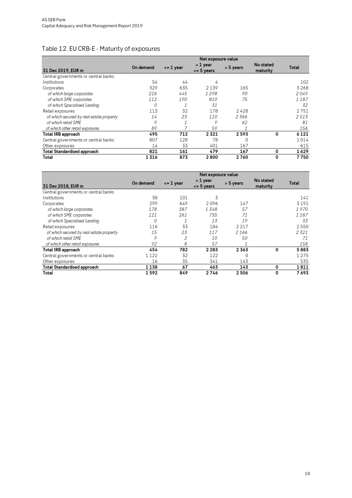## <span id="page-17-0"></span>Table 12. EU CRB-E - Maturity of exposures

|                                          | Net exposure value |               |                            |             |                              |              |  |  |
|------------------------------------------|--------------------|---------------|----------------------------|-------------|------------------------------|--------------|--|--|
| 31 Dec 2019, EUR m                       | On demand          | $\leq$ 1 year | > 1 year<br>$\leq$ 5 years | $> 5$ years | <b>No stated</b><br>maturity | <b>Total</b> |  |  |
| Central governments or central banks     |                    |               |                            |             |                              |              |  |  |
| Institutions                             | 54                 | 44            | 4                          |             |                              | 102          |  |  |
| Corporates                               | 329                | 635           | 2 1 3 9                    | 165         |                              | 3268         |  |  |
| of which large corporates                | 216                | 445           | 1298                       | 90          |                              | 2049         |  |  |
| of which SME corporates                  | 112                | 190           | 810                        | 75          |                              | 1 187        |  |  |
| of which Specialised Lending             | 0                  |               | 31                         |             |                              | 32           |  |  |
| Retail exposures                         | 113                | 32            | 178                        | 2428        |                              | 2751         |  |  |
| of which secured by real estate property | 14                 | 23            | 110                        | 2366        |                              | 2513         |  |  |
| of which retail SME                      | 9                  |               | 9                          | 62          |                              | 81           |  |  |
| of which other retail exposures          | 89                 |               | 59                         |             |                              | 156          |  |  |
| <b>Total IRB approach</b>                | 495                | 712           | 2321                       | 2593        | 0                            | 6 1 2 1      |  |  |
| Central governments or central banks     | 807                | 128           | 78                         | 0           |                              | 1014         |  |  |
| Other exposures                          | 14                 | 33            | 401                        | 167         |                              | 615          |  |  |
| <b>Total Standardised approach</b>       | 821                | 161           | 479                        | 167         | 0                            | 1629         |  |  |
| Total                                    | 1 316              | 873           | 2800                       | 2760        | 0                            | 7750         |  |  |

|                                          | Net exposure value |               |                              |             |                       |              |  |
|------------------------------------------|--------------------|---------------|------------------------------|-------------|-----------------------|--------------|--|
| 31 Dec 2018, EUR m                       | On demand          | $\leq$ 1 year | > 1 year<br>$\leq$ = 5 years | $> 5$ years | No stated<br>maturity | <b>Total</b> |  |
| Central governments or central banks     |                    |               |                              |             |                       |              |  |
| Institutions                             | 38                 | 101           | 3                            |             |                       | 141          |  |
| Corporates                               | 299                | 649           | 2096                         | 147         |                       | 3 1 9 1      |  |
| of which large corporates                | 178                | 387           | 1348                         | 57          |                       | 1970         |  |
| of which SME corporates                  | 121                | 261           | 735                          | 71          |                       | 1187         |  |
| of which Specialised Lending             | 0                  | 1             | 13                           | 19          |                       | 33           |  |
| Retail exposures                         | 116                | 33            | 184                          | 2 2 1 7     |                       | 2550         |  |
| of which secured by real estate property | 15                 | 23            | 117                          | 2 1 6 6     |                       | 2321         |  |
| of which retail SME                      | 9                  | 2             | 10                           | 50          |                       | 71           |  |
| of which other retail exposures          | 92                 | 8             | 57                           |             |                       | 158          |  |
| <b>Total IRB approach</b>                | 454                | 782           | 2 2 8 3                      | 2363        | 0                     | 5883         |  |
| Central governments or central banks     | 1 1 2 2            | 32            | 122                          | 0           |                       | 1 2 7 5      |  |
| Other exposures                          | 16                 | 35            | 341                          | 143         |                       | 535          |  |
| <b>Total Standardised approach</b>       | 1138               | 67            | 463                          | 143         | 0                     | 1811         |  |
| Total                                    | 1592               | 849           | 2746                         | 2506        | 0                     | 7 693        |  |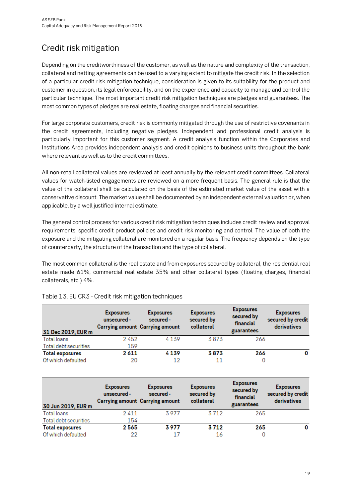# <span id="page-18-0"></span>Credit risk mitigation

Depending on the creditworthiness of the customer, as well as the nature and complexity of the transaction, collateral and netting agreements can be used to a varying extent to mitigate the credit risk. In the selection of a particular credit risk mitigation technique, consideration is given to its suitability for the product and customer in question, its legal enforceability, and on the experience and capacity to manage and control the particular technique. The most important credit risk mitigation techniques are pledges and guarantees. The most common types of pledges are real estate, floating charges and financial securities.

For large corporate customers, credit risk is commonly mitigated through the use of restrictive covenants in the credit agreements, including negative pledges. Independent and professional credit analysis is particularly important for this customer segment. A credit analysis function within the Corporates and Institutions Area provides independent analysis and credit opinions to business units throughout the bank where relevant as well as to the credit committees.

All non-retail collateral values are reviewed at least annually by the relevant credit committees. Collateral values for watch-listed engagements are reviewed on a more frequent basis. The general rule is that the value of the collateral shall be calculated on the basis of the estimated market value of the asset with a conservative discount. The market value shall be documented by an independent external valuation or, when applicable, by a well justified internal estimate.

The general control process for various credit risk mitigation techniques includes credit review and approval requirements, specific credit product policies and credit risk monitoring and control. The value of both the exposure and the mitigating collateral are monitored on a regular basis. The frequency depends on the type of counterparty, the structure of the transaction and the type of collateral.

The most common collateral is the real estate and from exposures secured by collateral, the residential real estate made 61%, commercial real estate 35% and other collateral types (floating charges, financial collaterals, etc.) 4%.

| 31 Dec 2019, EUR m     | <b>Exposures</b><br>unsecured - | <b>Exposures</b><br>secured -<br><b>Carrying amount Carrying amount</b> | <b>Exposures</b><br>secured by<br>collateral | <b>Exposures</b><br>secured by<br>financial<br>guarantees | <b>Exposures</b><br>secured by credit<br>derivatives |
|------------------------|---------------------------------|-------------------------------------------------------------------------|----------------------------------------------|-----------------------------------------------------------|------------------------------------------------------|
| Total loans            | 2452                            | 4139                                                                    | 3873                                         | 266                                                       |                                                      |
| Total debt securities  | 159                             |                                                                         |                                              |                                                           |                                                      |
| <b>Total exposures</b> | 2611                            | 4139                                                                    | 3873                                         | 266                                                       | 0                                                    |
| Of which defaulted     | 20                              | 12                                                                      | 11                                           | 0                                                         |                                                      |

#### <span id="page-18-1"></span>Table 13. EU CR3 - Credit risk mitigation techniques

| 30 Jun 2019, EUR m     | <b>Exposures</b><br>unsecured - | <b>Exposures</b><br>secured -<br><b>Carrying amount Carrying amount</b> | <b>Exposures</b><br>secured by<br>collateral | <b>Exposures</b><br>secured by<br>financial<br>guarantees | <b>Exposures</b><br>secured by credit<br>derivatives |
|------------------------|---------------------------------|-------------------------------------------------------------------------|----------------------------------------------|-----------------------------------------------------------|------------------------------------------------------|
| Total loans            | 2411                            | 3977                                                                    | 3712                                         | 265                                                       |                                                      |
| Total debt securities  | 154                             |                                                                         |                                              |                                                           |                                                      |
| <b>Total exposures</b> | 2565                            | 3977                                                                    | 3712                                         | 265                                                       | 0                                                    |
| Of which defaulted     | 22                              | 17                                                                      | 16                                           |                                                           |                                                      |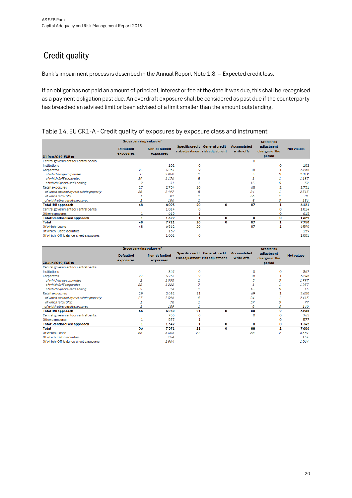# <span id="page-19-0"></span>**Credit quality**

Bank's impairment process is described in the Annual Report Note 1.8. – Expected credit loss.

If an obligor has not paid an amount of principal, interest or fee at the date it was due, this shall be recognised as a payment obligation past due. An overdraft exposure shall be considered as past due if the counterparty has breached an advised limit or been advised of a limit smaller than the amount outstanding.

<span id="page-19-1"></span>

|                                          | Gross carrying values of      |                            |    |                                                                   |                                  | <b>Creditrisk</b>                      |                  |
|------------------------------------------|-------------------------------|----------------------------|----|-------------------------------------------------------------------|----------------------------------|----------------------------------------|------------------|
| 31 Dec 2019, EUR m                       | <b>Defaulted</b><br>exposures | Non-defaulted<br>exposures |    | Specific credit General credit<br>risk adjustment risk adjustment | <b>Accumulated</b><br>write-offs | adjustment<br>charges of the<br>period | <b>Netvalues</b> |
| Central governments or central banks     |                               |                            |    |                                                                   | Ō                                |                                        |                  |
| <b>Institutions</b>                      |                               | 102                        | o  |                                                                   |                                  | o                                      | 102              |
| Corporates                               | 21                            | 3257                       |    |                                                                   | 18                               | $-1$                                   | 3268             |
| of which large corporates                | $\Omega$                      | 2050                       |    |                                                                   | 3                                | 0                                      | 2049             |
| of which SME corporates                  | 19                            | 1176                       | 8  |                                                                   |                                  | -1                                     | 1187             |
| of which Specialised Lending             | $\overline{2}$                | 31                         |    |                                                                   | 15                               | o                                      | 32               |
| Retail exposures                         | 27                            | 2734                       | 10 |                                                                   | 68                               | $\overline{2}$                         | 2751             |
| of which secured by real estate property | 25                            | 2497                       | 8  |                                                                   | 24                               |                                        | 2513             |
| of which retail SME                      |                               | 81                         |    |                                                                   | 36                               |                                        | 81               |
| of which other retail exposures          |                               | 156                        |    |                                                                   | 8                                | 0                                      | 156              |
| <b>Total IRB approach</b>                | 48                            | 6093                       | 20 | 0                                                                 | 87                               | 1                                      | 6121             |
| Central governments or central banks     |                               | 1014                       | o  |                                                                   |                                  | o                                      | 1014             |
| Other exposures                          |                               | ó15                        |    |                                                                   |                                  | 0                                      | 615              |
| <b>Total Standardised approach</b>       |                               | 1629                       | 1  | 0                                                                 | 0                                | О                                      | 1629             |
| <b>Total</b>                             | 48                            | 7721                       | 20 | 0                                                                 | 87                               | 1                                      | 7750             |
| Of which: Loans                          | 48                            | ó 5ó2                      | 20 |                                                                   | 87                               |                                        | ó 590            |
| Of which: Debt securities                |                               | 159                        |    |                                                                   |                                  |                                        | 159              |
| Of which: Off-balance-sheet exposures    |                               | 1001                       | o  |                                                                   |                                  |                                        | 1001             |

<span id="page-19-2"></span>

|                                          | Gross carrying values of      |                                   |    |                                                                   |                                  | <b>Creditrisk</b>                      |                   |
|------------------------------------------|-------------------------------|-----------------------------------|----|-------------------------------------------------------------------|----------------------------------|----------------------------------------|-------------------|
| 30 Jun 2019, EUR m                       | <b>Defaulted</b><br>exposures | <b>Non-defaulted</b><br>exposures |    | Specific credit General credit<br>risk adjustment risk adjustment | <b>Accumulated</b><br>write-offs | adjustment<br>charges of the<br>period | <b>Net values</b> |
| Central governments or central banks     |                               |                                   |    |                                                                   |                                  |                                        |                   |
| Institutions                             |                               | 367                               | o  |                                                                   | $\Omega$                         | o                                      | 367               |
| <b>Corporates</b>                        | 27                            | 3231                              | 9  |                                                                   | 18                               |                                        | 3248              |
| of which large corporates                | 2                             | 1995                              |    |                                                                   |                                  |                                        | 1997              |
| of which SME corporates                  | 22                            | 1222                              |    |                                                                   |                                  |                                        | 1237              |
| of which Specialised Lending             | 2                             | 14                                |    |                                                                   | 15                               |                                        | 15                |
| Retail exposures                         | 29                            | 2632                              | 11 |                                                                   | 69                               |                                        | 2650              |
| of which secured by real estate property | 27                            | 2396                              | ۰  |                                                                   | 24                               |                                        | 2413              |
| of which retail SME                      |                               | 78                                |    |                                                                   | 37                               | ο                                      | 77                |
| of which other retail exposures          |                               | 159                               |    |                                                                   | 8                                | 0                                      | 160               |
| <b>Total IRB approach</b>                | 56                            | 6230                              | 21 | 0                                                                 | 88                               | 2                                      | 6265              |
| Central governments or central banks     |                               | 765                               | o  |                                                                   | o                                |                                        | 765               |
| Other exposures                          |                               | 577                               |    |                                                                   |                                  | o                                      | 577               |
| <b>Total Standardised approach</b>       |                               | 1342                              |    | 0                                                                 | 0                                | 0                                      | 1342              |
| <b>Total</b>                             | 56                            | 7571                              | 21 | 0                                                                 | 88                               | 2                                      | 7606              |
| Of which: Loans                          | 56                            | 6353                              | 21 |                                                                   | 88                               | 2                                      | 6387              |
| Of which: Debt securities                |                               | 154                               |    |                                                                   |                                  |                                        | 154               |
| Of which: Off-balance-sheet exposures    |                               | 1064                              |    |                                                                   |                                  |                                        | 1064              |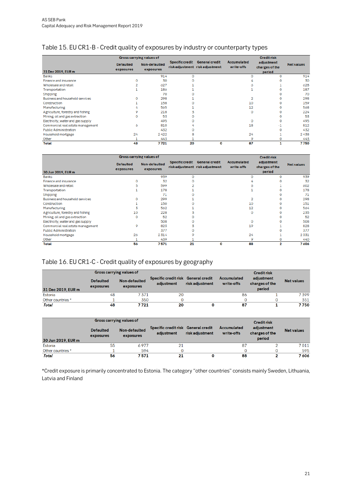## Table 15. EU CR1-B - Credit quality of exposures by industry or counterparty types

|                                   |                               | Gross carrying values of          |                        |                                                          |                                  | <b>Creditrisk</b>                      |                  |
|-----------------------------------|-------------------------------|-----------------------------------|------------------------|----------------------------------------------------------|----------------------------------|----------------------------------------|------------------|
| 31 Dec 2019, EUR m                | <b>Defaulted</b><br>exposures | <b>Non-defaulted</b><br>exposures | <b>Specific credit</b> | <b>General credit</b><br>risk adjustment risk adjustment | <b>Accumulated</b><br>write-offs | adjustment<br>charges of the<br>period | <b>Netvalues</b> |
| <b>Banks</b>                      |                               | 914                               | ٥                      |                                                          |                                  | $\Omega$                               | 914              |
| Finance and insurance             |                               | 30                                |                        |                                                          |                                  |                                        | 30               |
| Wholesale and retail              |                               | 627                               |                        |                                                          |                                  |                                        | ó28              |
| Transportation                    |                               | 186                               |                        |                                                          |                                  |                                        | 187              |
| <b>Shipping</b>                   |                               | 70                                |                        |                                                          |                                  | o                                      | 70               |
| Business and household services   | o                             | 298                               |                        |                                                          | 2                                | o                                      | 298              |
| Construction                      |                               | 158                               |                        |                                                          | 10                               |                                        | 159              |
| Manufacturing                     |                               | 565                               |                        |                                                          | 12                               |                                        | 568              |
| Agriculture, forestry and fishing |                               | 218                               |                        |                                                          | o                                |                                        | 224              |
| Mining, oil and gas extraction    | 0                             | 53                                |                        |                                                          |                                  |                                        | 53               |
| Electricity, water and gas supply |                               | 495                               |                        |                                                          | o                                | o                                      | 495              |
| Commercial real estate management | ó                             | 810                               |                        |                                                          | 18                               | -1                                     | 812              |
| <b>Public Administration</b>      |                               | 432                               |                        |                                                          |                                  | o                                      | 432              |
| Household mortgage                | 24                            | 2422                              | 8                      |                                                          | 24                               |                                        | 2438             |
| Other                             |                               | 443                               |                        |                                                          | 9                                | o                                      | 443              |
| Total                             | 48                            | 7721                              | 20                     | 0                                                        | 87                               |                                        | 7750             |

|                                   |                               | Gross carrying values of          |                        |                                                          | <b>Creditrisk</b>                |                                        |                   |  |  |  |
|-----------------------------------|-------------------------------|-----------------------------------|------------------------|----------------------------------------------------------|----------------------------------|----------------------------------------|-------------------|--|--|--|
| 30 Jun 2019, EUR m                | <b>Defaulted</b><br>exposures | <b>Non-defaulted</b><br>exposures | <b>Specific credit</b> | <b>General credit</b><br>risk adjustment risk adjustment | <b>Accumulated</b><br>write-offs | adjustment<br>charges of the<br>period | <b>Net values</b> |  |  |  |
| <b>Banks</b>                      |                               | 939                               | $\Omega$               |                                                          | $\Omega$                         | $\Omega$                               | 939               |  |  |  |
| Finance and insurance             |                               | 32                                |                        |                                                          |                                  |                                        | 32                |  |  |  |
| Wholesale and retail              |                               | 599                               |                        |                                                          |                                  |                                        | 602               |  |  |  |
| Transportation                    |                               | 178                               |                        |                                                          |                                  |                                        | 178               |  |  |  |
| Shipping                          |                               | 71                                |                        |                                                          |                                  |                                        | 71                |  |  |  |
| Business and household services   |                               | 299                               |                        |                                                          | 2                                |                                        | 298               |  |  |  |
| Construction                      |                               | 150                               |                        |                                                          | 10                               |                                        | 151               |  |  |  |
| Manufacturing                     | 3                             | 562                               |                        |                                                          | 12                               |                                        | 564               |  |  |  |
| Agriculture, forestry and fishing | 10                            | 228                               |                        |                                                          | $\circ$                          |                                        | 235               |  |  |  |
| Mining, oil and gas extraction    | 0                             | 52                                |                        |                                                          |                                  |                                        | 52                |  |  |  |
| Electricity, water and gas supply |                               | 508                               |                        |                                                          | $\circ$                          |                                        | 508               |  |  |  |
| Commercial real estate management | 9                             | 823                               |                        |                                                          | 19                               |                                        | 828               |  |  |  |
| <b>Public Administration</b>      |                               | 377                               |                        |                                                          |                                  |                                        | 377               |  |  |  |
| Household mortgage                | 26                            | 2314                              |                        |                                                          | 24                               |                                        | 2331              |  |  |  |
| Other                             | 1                             | 439                               |                        |                                                          | 9                                | o                                      | 440               |  |  |  |
| <b>Total</b>                      | 56                            | 7571                              | 21                     | 0                                                        | 88                               | 2                                      | 7 606             |  |  |  |

## <span id="page-20-0"></span>Table 16. EU CR1-C - Credit quality of exposures by geography

|                    | Gross carrying values of      |                            |                                                   |                 |                                  | <b>Credit risk</b>                     |                   |
|--------------------|-------------------------------|----------------------------|---------------------------------------------------|-----------------|----------------------------------|----------------------------------------|-------------------|
| 31 Dec 2019, EUR m | <b>Defaulted</b><br>exposures | Non-defaulted<br>exposures | Specific credit risk General credit<br>adiustment | risk adjustment | <b>Accumulated</b><br>write-offs | adjustment<br>charges of the<br>period | <b>Net values</b> |
| Estonia            | 48                            | 7371                       | 20                                                |                 | 86                               |                                        | 7399              |
| Other countries *  |                               | 350                        |                                                   |                 |                                  |                                        | 351               |
| Total              | 48                            | 7721                       | 20                                                |                 | 87                               |                                        | 7750              |

|                    | <b>Gross carrying values of</b> |                            |                                                   |                 |                                  | <b>Credit risk</b>                     |                   |
|--------------------|---------------------------------|----------------------------|---------------------------------------------------|-----------------|----------------------------------|----------------------------------------|-------------------|
| 30 Jun 2019, EUR m | <b>Defaulted</b><br>exposures   | Non-defaulted<br>exposures | Specific credit risk General credit<br>adjustment | risk adjustment | <b>Accumulated</b><br>write-offs | adjustment<br>charges of the<br>period | <b>Net values</b> |
| Estonia            | 55                              | 6977                       | 21                                                |                 | 87                               |                                        | 7 0 1 1           |
| Other countries *  |                                 | 594                        |                                                   |                 |                                  |                                        | 595               |
| Total              | 56                              | 7571                       | 21                                                |                 | 88                               |                                        | 7 606             |

\*Credit exposure is primarily concentrated to Estonia. The category "other countries" consists mainly Sweden, Lithuania, Latvia and Finland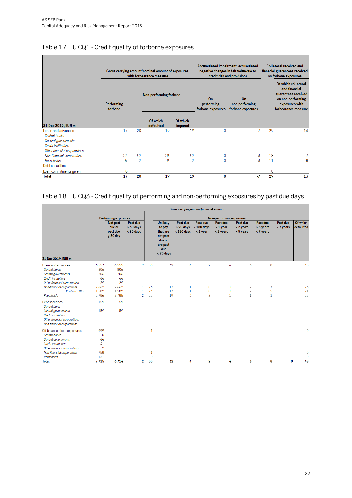|                                                                                                                          | <b>Performing</b><br>forbone |    | Gross carrying amount/nominal amount of exposures<br>with forbearance measure<br>Non-performing forbone |                     | On<br>performing<br>forbone exposures | Accumulated impairment, accumulated<br>negative changes in fair value due to<br>credit risk and provisions<br>On<br>non-performing<br>forbone exposures | <b>Collateral received and</b><br>fianacial guarantees received<br>on forbone exposures<br>Of which collateral<br>and financial<br>guarantees received<br>on non-performing<br>exposures with<br>forbearance measure |    |  |
|--------------------------------------------------------------------------------------------------------------------------|------------------------------|----|---------------------------------------------------------------------------------------------------------|---------------------|---------------------------------------|---------------------------------------------------------------------------------------------------------------------------------------------------------|----------------------------------------------------------------------------------------------------------------------------------------------------------------------------------------------------------------------|----|--|
| 31 Dec 2019, EUR m                                                                                                       |                              |    | Of which<br>defaulted                                                                                   | Of which<br>impared |                                       |                                                                                                                                                         |                                                                                                                                                                                                                      |    |  |
| Loans and advances<br>Central banks<br>General governments<br><b>Credit institutions</b><br>Other financial corporations | 17                           | 20 | 19                                                                                                      | 19                  | 0                                     | -7                                                                                                                                                      | 29                                                                                                                                                                                                                   | 13 |  |
| Non-financial corporations                                                                                               | 11                           | 10 | 10                                                                                                      | 10                  | 0                                     | -3                                                                                                                                                      | 18                                                                                                                                                                                                                   |    |  |
| Households                                                                                                               | 5                            | 0  | 0                                                                                                       | 0                   | 0                                     | $-3$                                                                                                                                                    | 11                                                                                                                                                                                                                   | 6  |  |
| Debt securities                                                                                                          |                              |    |                                                                                                         |                     |                                       |                                                                                                                                                         |                                                                                                                                                                                                                      |    |  |
| Loan commitments given                                                                                                   | 0                            |    |                                                                                                         |                     |                                       |                                                                                                                                                         | 0                                                                                                                                                                                                                    |    |  |
| <b>Total</b>                                                                                                             | 17                           | 20 | 19                                                                                                      | 19                  | 0                                     | $-7$                                                                                                                                                    | 29                                                                                                                                                                                                                   | 13 |  |

## <span id="page-21-0"></span>Table 17. EU CQ1 - Credit quality of forborne exposures

## <span id="page-21-1"></span>Table 18. EU CQ3 - Credit quality of performing and non-performing exposures by past due days

|                                                                                                                                                                 | Gross carrying amount/nominal amount                    |                                                 |                                           |                          |                                                                                               |                                       |                                          |                                          |                                         |                                         |                       |                          |  |  |
|-----------------------------------------------------------------------------------------------------------------------------------------------------------------|---------------------------------------------------------|-------------------------------------------------|-------------------------------------------|--------------------------|-----------------------------------------------------------------------------------------------|---------------------------------------|------------------------------------------|------------------------------------------|-----------------------------------------|-----------------------------------------|-----------------------|--------------------------|--|--|
|                                                                                                                                                                 |                                                         | <b>Performing exposures</b>                     |                                           | Non-performing exposures |                                                                                               |                                       |                                          |                                          |                                         |                                         |                       |                          |  |  |
| 31 Dec 2019, EUR m                                                                                                                                              |                                                         | Not past<br>due or<br>past due<br>$\leq 30$ day | Past due<br>$> 30$ days<br>$\leq 90$ days |                          | <b>Unlikely</b><br>to pay<br>that are<br>not past<br>due or<br>are past<br>due<br>$<$ 90 days | Past due<br>> 90 days<br>$< 180$ days | Past due<br>$>180$ days<br>$\leq 1$ year | Past due<br>$> 1$ year<br>$\leq$ 2 years | Past due<br>> 2 years<br>$\leq$ 5 years | Past due<br>> 5 years<br>$\leq$ 7 years | Past due<br>> 7 years | Of which<br>defaulted    |  |  |
| Loans and advances<br>Central banks<br>Central governments<br><b>Credit institutions</b><br>Other financial corporations                                        | 6557<br>806<br>206<br>66<br>29                          | 6555<br>806<br>206<br>66<br>29                  | $\overline{2}$                            | 53                       | 32                                                                                            | 4                                     | $\overline{2}$                           | 4                                        | 3                                       | 8                                       |                       | 48                       |  |  |
| Non-financial corporations<br>Of which SMEs<br>Households                                                                                                       | 2662<br>1502<br>2786                                    | 2662<br>1502<br>2785                            | 1<br>$\mathbf{1}$<br>$\overline{2}$       | 26<br>24<br>28           | 13<br>13<br>19                                                                                | 1<br>$\mathbf{1}$<br>$\overline{3}$   | 0<br>0<br>$\overline{2}$                 | 3<br>3<br>$\mathbf{1}$                   | 2<br>$\overline{2}$<br>$\mathbf{1}$     | 7<br>5<br>$\mathbf{1}$                  |                       | 23<br>21<br>25           |  |  |
| Debt securities<br><b>Central bank</b><br>Central governments<br><b>Credit institutions</b><br>Other financial corporations<br>Non-financial corporations       | 159<br>159                                              | 159<br>159                                      |                                           |                          |                                                                                               |                                       |                                          |                                          |                                         |                                         |                       |                          |  |  |
| Off-balance-sheet exposures<br>Central banks<br>Central governments<br><b>Credit institutions</b><br>Other financial corporations<br>Non-financial corporations | 999<br>$\mathbf 0$<br>66<br>41<br>$\overline{2}$<br>758 |                                                 |                                           | 1<br>1                   |                                                                                               |                                       |                                          |                                          |                                         |                                         |                       | $\mathbf{0}$<br>$\bf{0}$ |  |  |
| Households<br><b>Total</b>                                                                                                                                      | 131<br>7715                                             | 6714                                            | $\overline{2}$                            | $\mathbf 0$<br>55        | 32                                                                                            | 4                                     | $\mathbf{2}$                             | 4                                        | 3                                       | 8                                       | 0                     | $\mathbf 0$<br>48        |  |  |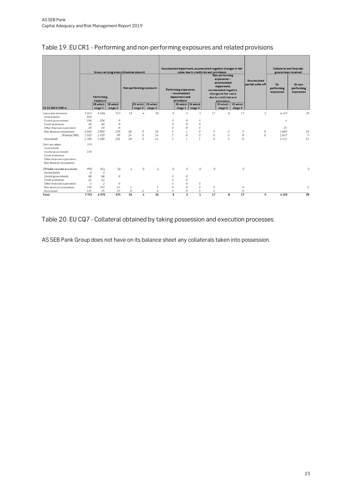|                                                                                                                 |                | <b>Performing</b>    | Gross carrying amount/nominal amount |               |                  | Non-performing exposure        |                         | <b>Performing exposures</b><br>- accumulated<br>impairment and | Accumulated impairment, accumulated negative changes in fair<br>value due to credit risk and provisions<br>Non-performing<br>exposures-<br>accumulated<br>impairment,<br>accumulated negative<br>changes in fair value<br>due to credit risk and |          |                                   | Accumulated<br>partial write-off<br>On<br>performing<br>exposures<br>$\circ$ |                  | <b>Collateral and financial</b><br>guarantees received<br>On non-<br>performing<br>exposures |              |
|-----------------------------------------------------------------------------------------------------------------|----------------|----------------------|--------------------------------------|---------------|------------------|--------------------------------|-------------------------|----------------------------------------------------------------|--------------------------------------------------------------------------------------------------------------------------------------------------------------------------------------------------------------------------------------------------|----------|-----------------------------------|------------------------------------------------------------------------------|------------------|----------------------------------------------------------------------------------------------|--------------|
| 31.12.2019, EUR m                                                                                               |                | exposure<br>Of which | Of which                             |               | stage 2          | Of which   Of which<br>stage 3 |                         | provisions                                                     | Of which Of which<br>stage 2                                                                                                                                                                                                                     |          | provisions<br>Of which<br>stage 2 | Of which<br>stage 3                                                          |                  |                                                                                              |              |
| Loans and advances                                                                                              | 6557           | stage 1<br>5434      | stage 2<br>317                       | 53            | 4                | 50                             | 3                       | stage 1<br>$\overline{2}$                                      | $\mathbf{1}$                                                                                                                                                                                                                                     | 17       | 0                                 | 17                                                                           |                  | 4 1 0 2                                                                                      | 29           |
| Central banks                                                                                                   | 806            |                      |                                      |               |                  |                                |                         |                                                                |                                                                                                                                                                                                                                                  |          |                                   |                                                                              |                  |                                                                                              |              |
| <b>Central governments</b>                                                                                      | 206            | 206                  | 0                                    |               |                  |                                | 0                       | 0                                                              | 0                                                                                                                                                                                                                                                |          |                                   |                                                                              |                  | 4                                                                                            |              |
| <b>Credit institutions</b>                                                                                      | 66             | 66                   | $\mathcal O$                         |               |                  |                                | $\mathcal O$            | 0                                                              | $\mathcal O$                                                                                                                                                                                                                                     |          |                                   |                                                                              |                  |                                                                                              |              |
| Other financial corporations                                                                                    | 29             | 29                   | $\mathcal{O}$                        |               |                  |                                | 0                       | $\mathcal{O}$                                                  | 0                                                                                                                                                                                                                                                |          |                                   |                                                                              |                  | 21                                                                                           |              |
| Non-financial corporations                                                                                      | 2662           | 2552                 | 110                                  | 26            | $\boldsymbol{0}$ | 26                             | $\mathbf{1}$            | $\mathbf{1}$                                                   | $\Omega$                                                                                                                                                                                                                                         | 9        | 0                                 | 9                                                                            | 0                | 1.665                                                                                        | 10           |
| Of which SMEs                                                                                                   | 1502           | 1403                 | 99                                   | 24            | $\mathcal{O}$    | 24                             | $\mathbf{1}$            | $\boldsymbol{o}$                                               | $\mathcal{O}$                                                                                                                                                                                                                                    | 8        | $\mathcal{O}$                     | $\boldsymbol{s}$                                                             | $\boldsymbol{o}$ | 1047                                                                                         | $\circ$      |
| Households                                                                                                      | 2.786          | 2.580                | 206                                  | 28            | $\overline{3}$   | 24                             | $\overline{2}$          | $\mathcal{I}$                                                  | $\mathbf{1}$                                                                                                                                                                                                                                     | 8        | $\Omega$                          | 8                                                                            |                  | 2412                                                                                         | 19           |
| <b>Debt securities</b><br><b>Central bank</b>                                                                   | 159            |                      |                                      |               |                  |                                |                         |                                                                |                                                                                                                                                                                                                                                  |          |                                   |                                                                              |                  |                                                                                              |              |
| Central governments<br><b>Credit institutions</b><br>Other financial corporations<br>Non-financial corporations | 159            |                      |                                      |               |                  |                                |                         |                                                                |                                                                                                                                                                                                                                                  |          |                                   |                                                                              |                  |                                                                                              |              |
| Off-balance-sheet exposures                                                                                     | 999            | 941                  | 58                                   | $\mathbf{1}$  | $\circ$          | $\mathbf{1}$                   | $\Omega$                | $\circ$                                                        | $\Omega$                                                                                                                                                                                                                                         | $\Omega$ |                                   | $\circ$                                                                      |                  |                                                                                              | $\Omega$     |
| <b>Central banks</b>                                                                                            | $\mathcal{O}$  | $\mathcal{O}$        |                                      |               |                  |                                |                         |                                                                |                                                                                                                                                                                                                                                  |          |                                   |                                                                              |                  |                                                                                              |              |
| Central governments                                                                                             | 66             | 66                   | $\Omega$                             |               |                  |                                | $\Omega$                | 0                                                              |                                                                                                                                                                                                                                                  |          |                                   |                                                                              |                  |                                                                                              |              |
| <b>Credit institutions</b>                                                                                      | 41             | 41                   |                                      |               |                  |                                | $\mathcal{O}$           | 0                                                              |                                                                                                                                                                                                                                                  |          |                                   |                                                                              |                  |                                                                                              |              |
| Other financial corporations                                                                                    | $\overline{2}$ | $\overline{2}$       | $\mathcal{O}$                        |               |                  |                                | $\Omega$                | $\mathcal O$                                                   | 0                                                                                                                                                                                                                                                |          |                                   |                                                                              |                  |                                                                                              |              |
| Non-financial corporations                                                                                      | 758            | 737                  | 21                                   | $\mathbf{1}$  |                  | $\mathbf{1}$                   | $\boldsymbol{O}$        | $\boldsymbol{0}$                                               | $\overline{O}$                                                                                                                                                                                                                                   | 0        |                                   | $\boldsymbol{o}$                                                             |                  |                                                                                              | $\mathcal O$ |
| Households                                                                                                      | 131            | 95                   | 37                                   | $\mathcal{O}$ | $\boldsymbol{o}$ | $\boldsymbol{0}$               | $\mathcal{O}$           | 0                                                              | 0                                                                                                                                                                                                                                                | 0        |                                   | 0                                                                            |                  |                                                                                              |              |
| <b>Total</b>                                                                                                    | 7715           | 6375                 | 375                                  | 55            | 4                | 51                             | $\overline{\mathbf{3}}$ | $\overline{\mathbf{2}}$                                        | $\mathbf{1}$                                                                                                                                                                                                                                     | 17       | 0                                 | 17                                                                           | 0                | 4 1 0 2                                                                                      | 29           |

### <span id="page-22-0"></span>Table 19. EU CR1 - Performing and non-performing exposures and related provisions

## <span id="page-22-1"></span>Table 20. EU CQ7 - Collateral obtained by taking possession and execution processes

AS SEB Pank Group does not have on its balance sheet any collaterals taken into possession.